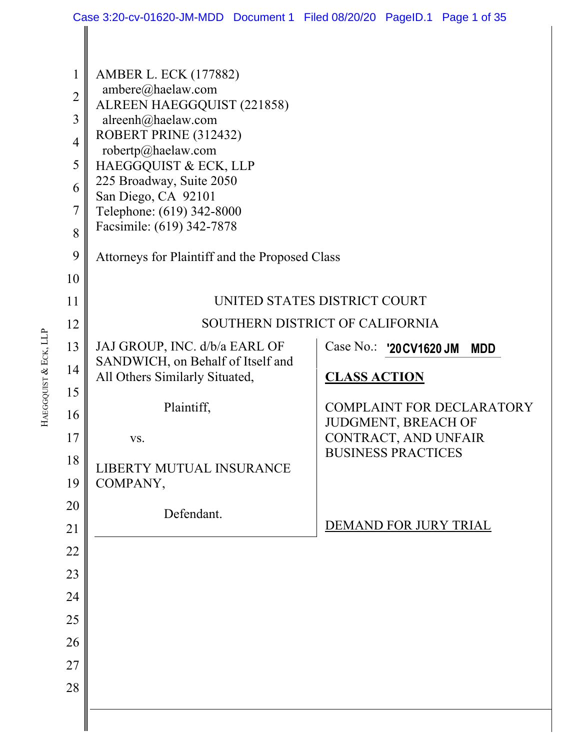|                     | Case 3:20-cv-01620-JM-MDD Document 1 Filed 08/20/20 PageID.1 Page 1 of 35 |                                                                |  |  |  |  |
|---------------------|---------------------------------------------------------------------------|----------------------------------------------------------------|--|--|--|--|
|                     |                                                                           |                                                                |  |  |  |  |
| $\mathbf{1}$        | <b>AMBER L. ECK (177882)</b><br>ambere@haelaw.com                         |                                                                |  |  |  |  |
| $\overline{2}$      | ALREEN HAEGGQUIST (221858)                                                |                                                                |  |  |  |  |
| 3                   | alreenh@haelaw.com<br>ROBERT PRINE (312432)                               |                                                                |  |  |  |  |
| 4                   | robertp@haelaw.com                                                        |                                                                |  |  |  |  |
| 5                   | HAEGGQUIST & ECK, LLP<br>225 Broadway, Suite 2050                         |                                                                |  |  |  |  |
| 6                   | San Diego, CA 92101                                                       |                                                                |  |  |  |  |
| $\overline{7}$<br>8 | Telephone: (619) 342-8000<br>Facsimile: (619) 342-7878                    |                                                                |  |  |  |  |
| 9                   | Attorneys for Plaintiff and the Proposed Class                            |                                                                |  |  |  |  |
| 10                  |                                                                           |                                                                |  |  |  |  |
| 11                  | UNITED STATES DISTRICT COURT                                              |                                                                |  |  |  |  |
| 12                  | SOUTHERN DISTRICT OF CALIFORNIA                                           |                                                                |  |  |  |  |
| 13                  | JAJ GROUP, INC. d/b/a EARL OF                                             | Case No.: '20 CV1620 JM<br><b>MDD</b>                          |  |  |  |  |
| 14                  | SANDWICH, on Behalf of Itself and<br>All Others Similarly Situated,       | <b>CLASS ACTION</b>                                            |  |  |  |  |
| 15                  |                                                                           |                                                                |  |  |  |  |
| 16                  | Plaintiff,                                                                | <b>COMPLAINT FOR DECLARATORY</b><br><b>JUDGMENT, BREACH OF</b> |  |  |  |  |
| 17                  | VS.                                                                       | CONTRACT, AND UNFAIR                                           |  |  |  |  |
| 18                  | LIBERTY MUTUAL INSURANCE                                                  | <b>BUSINESS PRACTICES</b>                                      |  |  |  |  |
| 19                  | COMPANY,                                                                  |                                                                |  |  |  |  |
| 20                  | Defendant.                                                                |                                                                |  |  |  |  |
| 21                  |                                                                           | DEMAND FOR JURY TRIAL                                          |  |  |  |  |
| 22                  |                                                                           |                                                                |  |  |  |  |
| 23                  |                                                                           |                                                                |  |  |  |  |
| 24                  |                                                                           |                                                                |  |  |  |  |
| 25                  |                                                                           |                                                                |  |  |  |  |
| 26                  |                                                                           |                                                                |  |  |  |  |
| 27<br>28            |                                                                           |                                                                |  |  |  |  |
|                     |                                                                           |                                                                |  |  |  |  |
|                     |                                                                           |                                                                |  |  |  |  |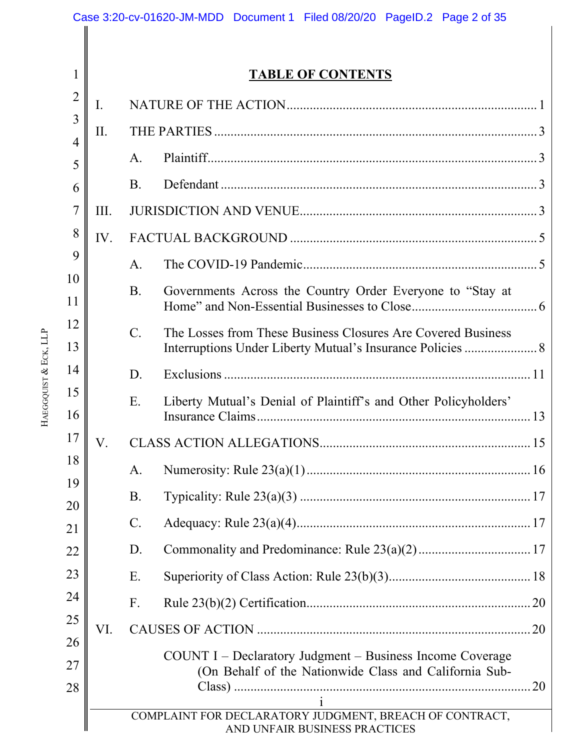|                       |                                              | Case 3:20-cv-01620-JM-MDD Document 1 Filed 08/20/20 PageID.2 Page 2 of 35 |                                                                                          |  |  |  |
|-----------------------|----------------------------------------------|---------------------------------------------------------------------------|------------------------------------------------------------------------------------------|--|--|--|
|                       | 1                                            | <b>TABLE OF CONTENTS</b>                                                  |                                                                                          |  |  |  |
|                       | $\overline{2}$                               |                                                                           |                                                                                          |  |  |  |
|                       | 3                                            | I.                                                                        |                                                                                          |  |  |  |
|                       | $\overline{4}$                               | II.                                                                       |                                                                                          |  |  |  |
|                       | 5                                            |                                                                           | A.                                                                                       |  |  |  |
|                       | 6                                            |                                                                           | <b>B.</b>                                                                                |  |  |  |
|                       | 7<br>8<br>9<br>10                            | III.                                                                      |                                                                                          |  |  |  |
|                       |                                              | IV.                                                                       |                                                                                          |  |  |  |
|                       |                                              |                                                                           | A.                                                                                       |  |  |  |
|                       |                                              |                                                                           | <b>B.</b><br>Governments Across the Country Order Everyone to "Stay at                   |  |  |  |
|                       | 11                                           |                                                                           |                                                                                          |  |  |  |
|                       | 12<br>13<br>14<br>15<br>16<br>17<br>18<br>19 |                                                                           | $\mathcal{C}$ .<br>The Losses from These Business Closures Are Covered Business          |  |  |  |
|                       |                                              |                                                                           | D.                                                                                       |  |  |  |
| HAEGGQUIST & ECK, LLP |                                              |                                                                           | Liberty Mutual's Denial of Plaintiff's and Other Policyholders'<br>Ε.                    |  |  |  |
|                       |                                              | V.                                                                        |                                                                                          |  |  |  |
|                       |                                              |                                                                           | A.                                                                                       |  |  |  |
|                       |                                              |                                                                           | <b>B.</b>                                                                                |  |  |  |
|                       | 20<br>21                                     |                                                                           | $\mathcal{C}$ .                                                                          |  |  |  |
|                       | 22                                           |                                                                           | D.                                                                                       |  |  |  |
|                       | 23                                           |                                                                           | Ε.                                                                                       |  |  |  |
|                       | 24                                           |                                                                           | F.                                                                                       |  |  |  |
|                       | 25                                           | VI.                                                                       |                                                                                          |  |  |  |
|                       | 26                                           |                                                                           | COUNT I – Declaratory Judgment – Business Income Coverage                                |  |  |  |
|                       | 27                                           |                                                                           | (On Behalf of the Nationwide Class and California Sub-                                   |  |  |  |
|                       | 28                                           |                                                                           |                                                                                          |  |  |  |
|                       |                                              |                                                                           | COMPLAINT FOR DECLARATORY JUDGMENT, BREACH OF CONTRACT,<br>AND UNFAIR BUSINESS PRACTICES |  |  |  |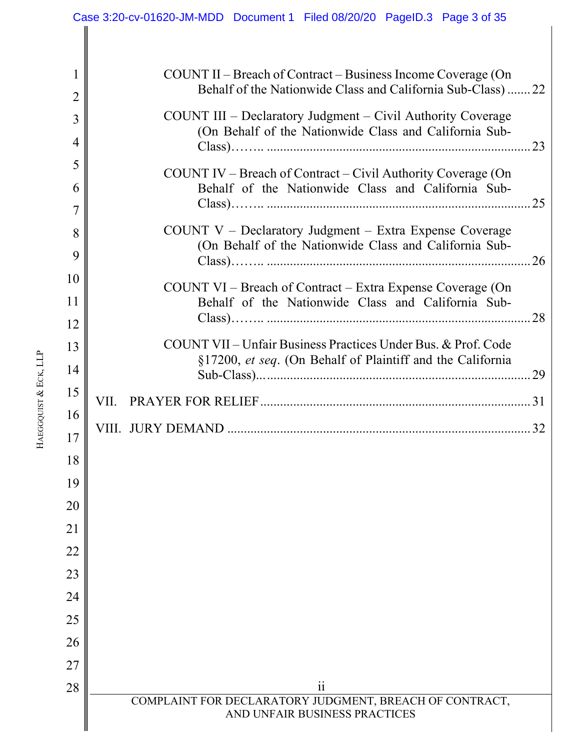#### $28$  || ii COMPLAINT FOR DECLARATORY JUDGMENT, BREACH OF CONTRACT, AND UNFAIR BUSINESS PRACTICES 1 2 3 4 5 6 7 8 9 10 11 12 13 14 15 16 17 18 19 20 21 22 23 24 25 26 27 28 COUNT II – Breach of Contract – Business Income Coverage (On Behalf of the Nationwide Class and California Sub-Class) ....... 22 COUNT III – Declaratory Judgment – Civil Authority Coverage (On Behalf of the Nationwide Class and California Sub-Class)…….. ................................................................................ 23 COUNT IV – Breach of Contract – Civil Authority Coverage (On Behalf of the Nationwide Class and California Sub-Class)…….. ................................................................................ 25 COUNT V – Declaratory Judgment – Extra Expense Coverage (On Behalf of the Nationwide Class and California Sub-Class)…….. ................................................................................ 26 COUNT VI – Breach of Contract – Extra Expense Coverage (On Behalf of the Nationwide Class and California Sub-Class)…….. ................................................................................ 28 COUNT VII – Unfair Business Practices Under Bus. & Prof. Code §17200, *et seq*. (On Behalf of Plaintiff and the California Sub-Class)... ................................................................................ 29 VII. PRAYER FOR RELIEF .................................................................................. 31 VIII. JURY DEMAND ............................................................................................ 32 Case 3:20-cv-01620-JM-MDD Document 1 Filed 08/20/20 PageID.3 Page 3 of 35

HAEGGQUIST & ECK, LLP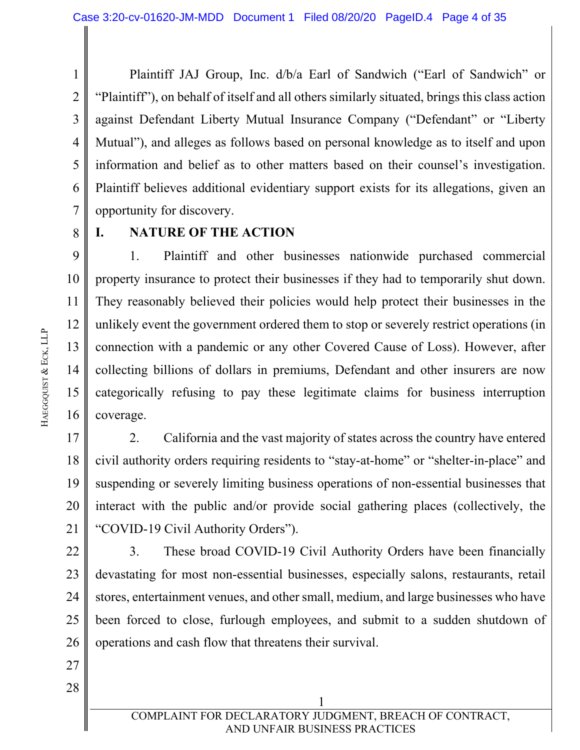1 2 3 4 5 6 7 Plaintiff JAJ Group, Inc. d/b/a Earl of Sandwich ("Earl of Sandwich" or "Plaintiff"), on behalf of itself and all others similarly situated, brings this class action against Defendant Liberty Mutual Insurance Company ("Defendant" or "Liberty Mutual"), and alleges as follows based on personal knowledge as to itself and upon information and belief as to other matters based on their counsel's investigation. Plaintiff believes additional evidentiary support exists for its allegations, given an opportunity for discovery.

8

#### **I. NATURE OF THE ACTION**

9 10 11 12 13 14 15 16 1. Plaintiff and other businesses nationwide purchased commercial property insurance to protect their businesses if they had to temporarily shut down. They reasonably believed their policies would help protect their businesses in the unlikely event the government ordered them to stop or severely restrict operations (in connection with a pandemic or any other Covered Cause of Loss). However, after collecting billions of dollars in premiums, Defendant and other insurers are now categorically refusing to pay these legitimate claims for business interruption coverage.

17 18 19 20 21 2. California and the vast majority of states across the country have entered civil authority orders requiring residents to "stay-at-home" or "shelter-in-place" and suspending or severely limiting business operations of non-essential businesses that interact with the public and/or provide social gathering places (collectively, the "COVID-19 Civil Authority Orders").

22 23 24 25 26 3. These broad COVID-19 Civil Authority Orders have been financially devastating for most non-essential businesses, especially salons, restaurants, retail stores, entertainment venues, and other small, medium, and large businesses who have been forced to close, furlough employees, and submit to a sudden shutdown of operations and cash flow that threatens their survival.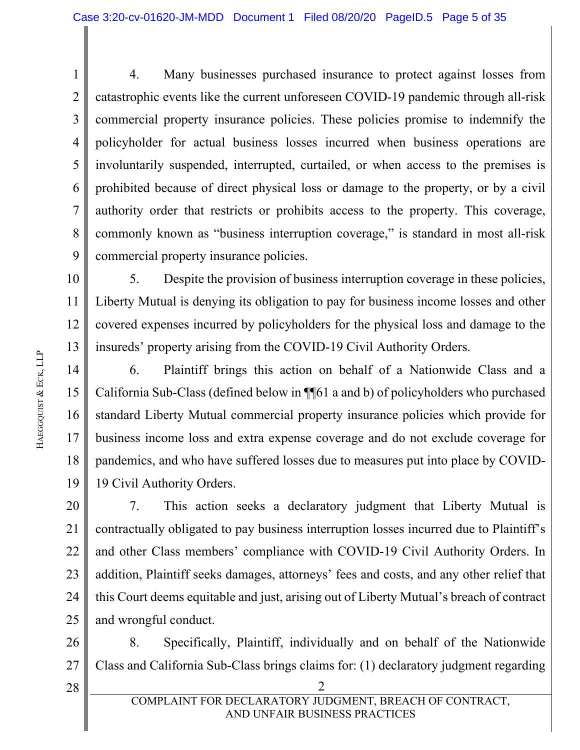1 2 3 4 5 6 7 8 9 4. Many businesses purchased insurance to protect against losses from catastrophic events like the current unforeseen COVID-19 pandemic through all-risk commercial property insurance policies. These policies promise to indemnify the policyholder for actual business losses incurred when business operations are involuntarily suspended, interrupted, curtailed, or when access to the premises is prohibited because of direct physical loss or damage to the property, or by a civil authority order that restricts or prohibits access to the property. This coverage, commonly known as "business interruption coverage," is standard in most all-risk commercial property insurance policies.

10 11 12 13 5. Despite the provision of business interruption coverage in these policies, Liberty Mutual is denying its obligation to pay for business income losses and other covered expenses incurred by policyholders for the physical loss and damage to the insureds' property arising from the COVID-19 Civil Authority Orders.

14 15 16 17 18 19 6. Plaintiff brings this action on behalf of a Nationwide Class and a California Sub-Class (defined below in ¶¶61 a and b) of policyholders who purchased standard Liberty Mutual commercial property insurance policies which provide for business income loss and extra expense coverage and do not exclude coverage for pandemics, and who have suffered losses due to measures put into place by COVID-19 Civil Authority Orders.

20 21 22 23 24 25 7. This action seeks a declaratory judgment that Liberty Mutual is contractually obligated to pay business interruption losses incurred due to Plaintiff's and other Class members' compliance with COVID-19 Civil Authority Orders. In addition, Plaintiff seeks damages, attorneys' fees and costs, and any other relief that this Court deems equitable and just, arising out of Liberty Mutual's breach of contract and wrongful conduct.

26 27 8. Specifically, Plaintiff, individually and on behalf of the Nationwide Class and California Sub-Class brings claims for: (1) declaratory judgment regarding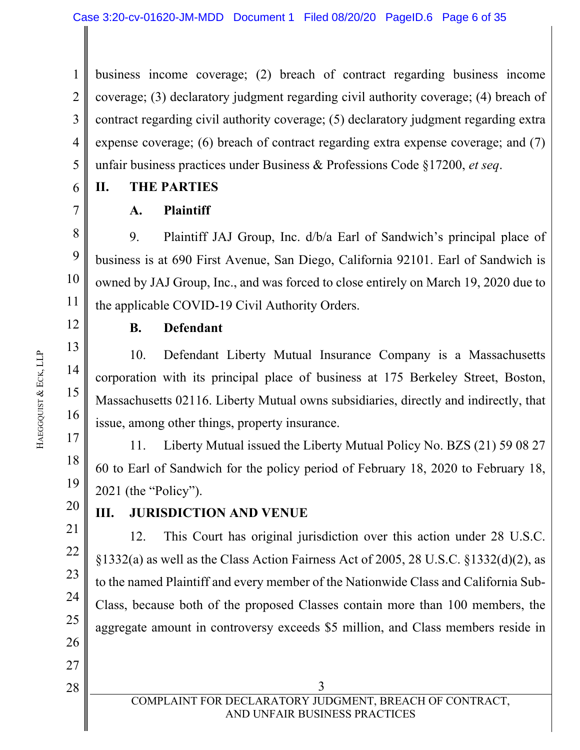1 2 3 4 5 business income coverage; (2) breach of contract regarding business income coverage; (3) declaratory judgment regarding civil authority coverage; (4) breach of contract regarding civil authority coverage; (5) declaratory judgment regarding extra expense coverage; (6) breach of contract regarding extra expense coverage; and (7) unfair business practices under Business & Professions Code §17200, *et seq*.

6

7

8

9

10

11

12

13

14

15

16

17

18

19

20

21

22

23

24

25

26

27

28

## **II. THE PARTIES**

## **A. Plaintiff**

9. Plaintiff JAJ Group, Inc. d/b/a Earl of Sandwich's principal place of business is at 690 First Avenue, San Diego, California 92101. Earl of Sandwich is owned by JAJ Group, Inc., and was forced to close entirely on March 19, 2020 due to the applicable COVID-19 Civil Authority Orders.

## **B. Defendant**

10. Defendant Liberty Mutual Insurance Company is a Massachusetts corporation with its principal place of business at 175 Berkeley Street, Boston, Massachusetts 02116. Liberty Mutual owns subsidiaries, directly and indirectly, that issue, among other things, property insurance.

11. Liberty Mutual issued the Liberty Mutual Policy No. BZS (21) 59 08 27 60 to Earl of Sandwich for the policy period of February 18, 2020 to February 18, 2021 (the "Policy").

## **III. JURISDICTION AND VENUE**

12. This Court has original jurisdiction over this action under 28 U.S.C. §1332(a) as well as the Class Action Fairness Act of 2005, 28 U.S.C. §1332(d)(2), as to the named Plaintiff and every member of the Nationwide Class and California Sub-Class, because both of the proposed Classes contain more than 100 members, the aggregate amount in controversy exceeds \$5 million, and Class members reside in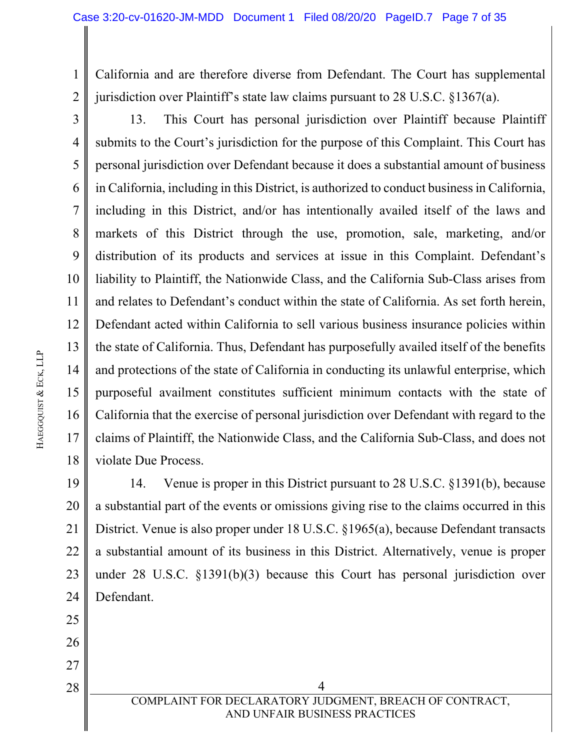1 2 California and are therefore diverse from Defendant. The Court has supplemental jurisdiction over Plaintiff's state law claims pursuant to 28 U.S.C. §1367(a).

3 4 5 6 7 8 9 10 11 12 13 14 15 16 17 18 13. This Court has personal jurisdiction over Plaintiff because Plaintiff submits to the Court's jurisdiction for the purpose of this Complaint. This Court has personal jurisdiction over Defendant because it does a substantial amount of business in California, including in this District, is authorized to conduct business in California, including in this District, and/or has intentionally availed itself of the laws and markets of this District through the use, promotion, sale, marketing, and/or distribution of its products and services at issue in this Complaint. Defendant's liability to Plaintiff, the Nationwide Class, and the California Sub-Class arises from and relates to Defendant's conduct within the state of California. As set forth herein, Defendant acted within California to sell various business insurance policies within the state of California. Thus, Defendant has purposefully availed itself of the benefits and protections of the state of California in conducting its unlawful enterprise, which purposeful availment constitutes sufficient minimum contacts with the state of California that the exercise of personal jurisdiction over Defendant with regard to the claims of Plaintiff, the Nationwide Class, and the California Sub-Class, and does not violate Due Process.

19 20 21 22 23 24 14. Venue is proper in this District pursuant to 28 U.S.C. §1391(b), because a substantial part of the events or omissions giving rise to the claims occurred in this District. Venue is also proper under 18 U.S.C. §1965(a), because Defendant transacts a substantial amount of its business in this District. Alternatively, venue is proper under 28 U.S.C. §1391(b)(3) because this Court has personal jurisdiction over Defendant.

 $\begin{array}{c|c|c|c|c} 28 & 4 \end{array}$ COMPLAINT FOR DECLARATORY JUDGMENT, BREACH OF CONTRACT, AND UNFAIR BUSINESS PRACTICES

25

26

27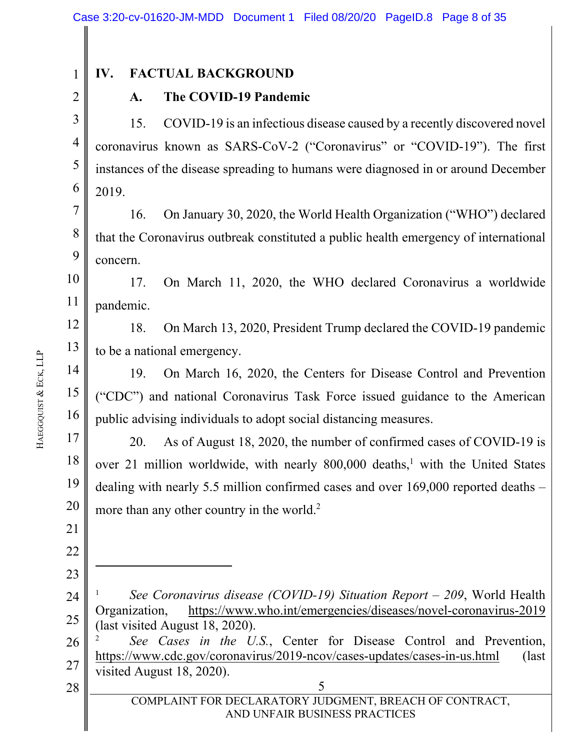2

1

### **IV. FACTUAL BACKGROUND**

#### **A. The COVID-19 Pandemic**

3 4 5 6 15. COVID-19 is an infectious disease caused by a recently discovered novel coronavirus known as SARS-CoV-2 ("Coronavirus" or "COVID-19"). The first instances of the disease spreading to humans were diagnosed in or around December 2019.

7 8 9 16. On January 30, 2020, the World Health Organization ("WHO") declared that the Coronavirus outbreak constituted a public health emergency of international concern.

10 11 17. On March 11, 2020, the WHO declared Coronavirus a worldwide pandemic.

12 13 18. On March 13, 2020, President Trump declared the COVID-19 pandemic to be a national emergency.

14 15 16 19. On March 16, 2020, the Centers for Disease Control and Prevention ("CDC") and national Coronavirus Task Force issued guidance to the American public advising individuals to adopt social distancing measures.

17 18 19 20 20. As of August 18, 2020, the number of confirmed cases of COVID-19 is over 21 million worldwide, with nearly 800,000 deaths,<sup>1</sup> with the United States dealing with nearly 5.5 million confirmed cases and over 169,000 reported deaths – more than any other country in the world.<sup>2</sup>

26 27 2 *See Cases in the U.S.*, Center for Disease Control and Prevention, https://www.cdc.gov/coronavirus/2019-ncov/cases-updates/cases-in-us.html (last visited August 18, 2020).

 $28$  |  $5$ COMPLAINT FOR DECLARATORY JUDGMENT, BREACH OF CONTRACT, AND UNFAIR BUSINESS PRACTICES

21

22

23

<sup>24</sup>  25 1 *See Coronavirus disease (COVID-19) Situation Report – 209*, World Health Organization, https://www.who.int/emergencies/diseases/novel-coronavirus-2019 (last visited August 18, 2020).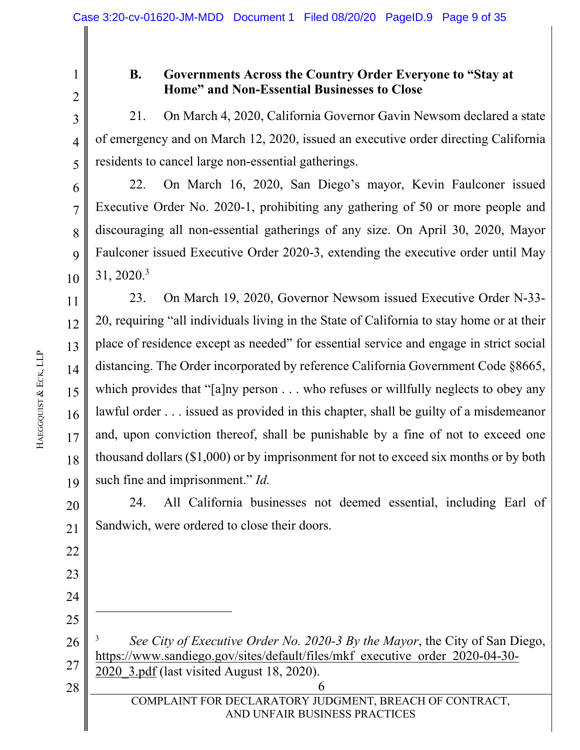2

3

4

5

6

7

8

9

10

12

22

23

24

25

28

1

#### **B. Governments Across the Country Order Everyone to "Stay at Home" and Non-Essential Businesses to Close**

21. On March 4, 2020, California Governor Gavin Newsom declared a state of emergency and on March 12, 2020, issued an executive order directing California residents to cancel large non-essential gatherings.

22. On March 16, 2020, San Diego's mayor, Kevin Faulconer issued Executive Order No. 2020-1, prohibiting any gathering of 50 or more people and discouraging all non-essential gatherings of any size. On April 30, 2020, Mayor Faulconer issued Executive Order 2020-3, extending the executive order until May 31, 2020.3

11 13 14 15 16 17 18 19 23. On March 19, 2020, Governor Newsom issued Executive Order N-33- 20, requiring "all individuals living in the State of California to stay home or at their place of residence except as needed" for essential service and engage in strict social distancing. The Order incorporated by reference California Government Code §8665, which provides that "[a]ny person . . . who refuses or willfully neglects to obey any lawful order . . . issued as provided in this chapter, shall be guilty of a misdemeanor and, upon conviction thereof, shall be punishable by a fine of not to exceed one thousand dollars (\$1,000) or by imprisonment for not to exceed six months or by both such fine and imprisonment." *Id.*

20 21 24. All California businesses not deemed essential, including Earl of Sandwich, were ordered to close their doors.

26 27 3 *See City of Executive Order No. 2020-3 By the Mayor*, the City of San Diego, https://www.sandiego.gov/sites/default/files/mkf executive order 2020-04-30- 2020\_3.pdf (last visited August 18, 2020).

 $\begin{array}{c|c|c|c|c} 28 & 6 \end{array}$ COMPLAINT FOR DECLARATORY JUDGMENT, BREACH OF CONTRACT, AND UNFAIR BUSINESS PRACTICES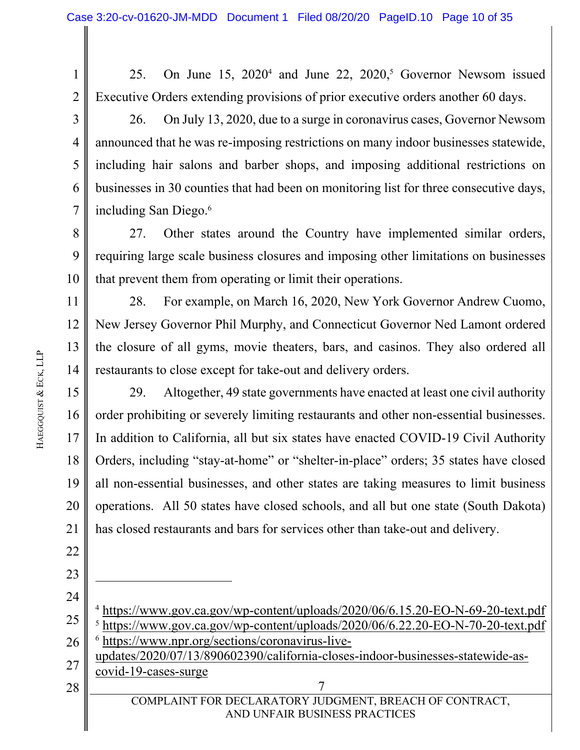1 2 25. On June  $15$ ,  $2020^4$  and June 22,  $2020^5$ , Governor Newsom issued Executive Orders extending provisions of prior executive orders another 60 days.

3 4 5 6 7 26. On July 13, 2020, due to a surge in coronavirus cases, Governor Newsom announced that he was re-imposing restrictions on many indoor businesses statewide, including hair salons and barber shops, and imposing additional restrictions on businesses in 30 counties that had been on monitoring list for three consecutive days, including San Diego.6

8 9 10 27. Other states around the Country have implemented similar orders, requiring large scale business closures and imposing other limitations on businesses that prevent them from operating or limit their operations.

11 12 13 14 28. For example, on March 16, 2020, New York Governor Andrew Cuomo, New Jersey Governor Phil Murphy, and Connecticut Governor Ned Lamont ordered the closure of all gyms, movie theaters, bars, and casinos. They also ordered all restaurants to close except for take-out and delivery orders.

15 16 17 18 19 20 21 29. Altogether, 49 state governments have enacted at least one civil authority order prohibiting or severely limiting restaurants and other non-essential businesses. In addition to California, all but six states have enacted COVID-19 Civil Authority Orders, including "stay-at-home" or "shelter-in-place" orders; 35 states have closed all non-essential businesses, and other states are taking measures to limit business operations. All 50 states have closed schools, and all but one state (South Dakota) has closed restaurants and bars for services other than take-out and delivery.

 $\begin{array}{c|c|c|c|c} 28 & 7 \end{array}$ COMPLAINT FOR DECLARATORY JUDGMENT, BREACH OF CONTRACT, AND UNFAIR BUSINESS PRACTICES 24 25 26 27 28 <sup>4</sup> https://www.gov.ca.gov/wp-content/uploads/2020/06/6.15.20-EO-N-69-20-text.pdf <sup>5</sup> https://www.gov.ca.gov/wp-content/uploads/2020/06/6.22.20-EO-N-70-20-text.pdf 6 https://www.npr.org/sections/coronavirus-liveupdates/2020/07/13/890602390/california-closes-indoor-businesses-statewide-ascovid-19-cases-surge

22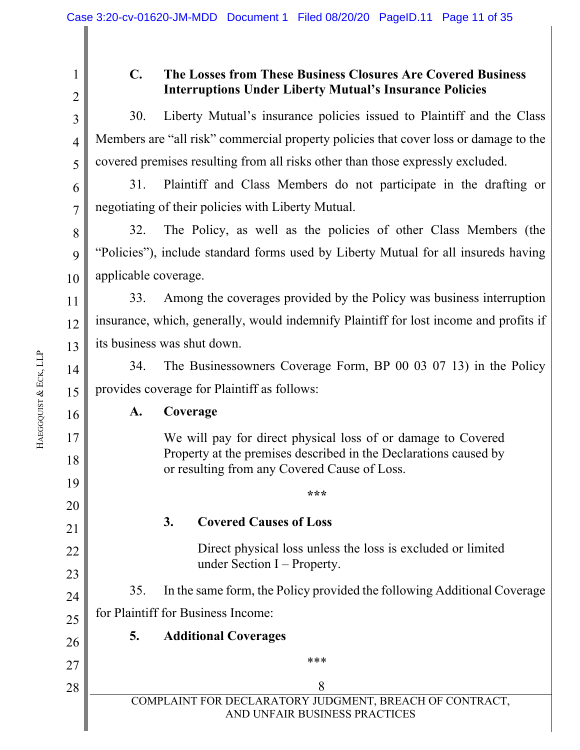3

4

5

12

13

16

17

18

19

20

21

22

23

24

25

26

27

28

1

### **C. The Losses from These Business Closures Are Covered Business Interruptions Under Liberty Mutual's Insurance Policies**

30. Liberty Mutual's insurance policies issued to Plaintiff and the Class Members are "all risk" commercial property policies that cover loss or damage to the covered premises resulting from all risks other than those expressly excluded.

6 7 31. Plaintiff and Class Members do not participate in the drafting or negotiating of their policies with Liberty Mutual.

8 9 10 32. The Policy, as well as the policies of other Class Members (the "Policies"), include standard forms used by Liberty Mutual for all insureds having applicable coverage.

11 33. Among the coverages provided by the Policy was business interruption insurance, which, generally, would indemnify Plaintiff for lost income and profits if its business was shut down.

14 15 34. The Businessowners Coverage Form, BP 00 03 07 13) in the Policy provides coverage for Plaintiff as follows:

**A. Coverage** 

 We will pay for direct physical loss of or damage to Covered Property at the premises described in the Declarations caused by or resulting from any Covered Cause of Loss.

**\*\*\***

## **3. Covered Causes of Loss**

 Direct physical loss unless the loss is excluded or limited under Section I – Property.

35. In the same form, the Policy provided the following Additional Coverage for Plaintiff for Business Income:

## **5. Additional Coverages**

\*\*\*

 $\begin{array}{c|c|c|c|c} 28 & 8 \end{array}$ COMPLAINT FOR DECLARATORY JUDGMENT, BREACH OF CONTRACT, AND UNFAIR BUSINESS PRACTICES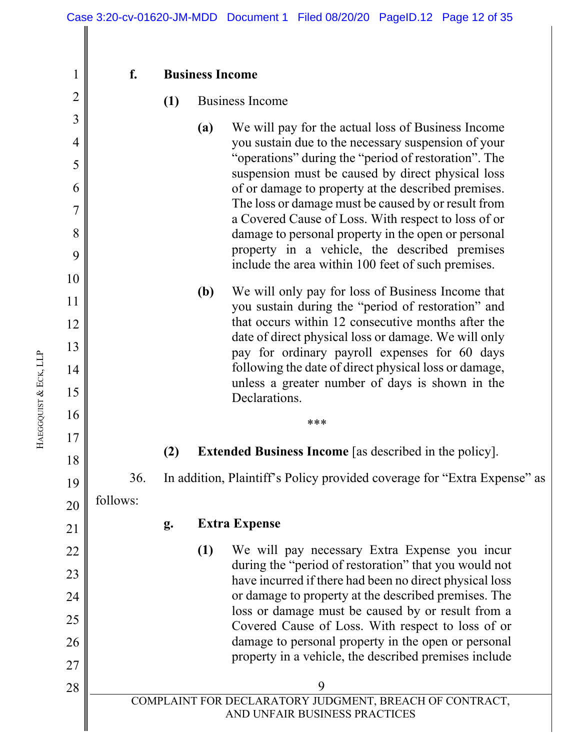**f. Business Income** 

#### **(1)** Business Income

- **(a)** We will pay for the actual loss of Business Income you sustain due to the necessary suspension of your "operations" during the "period of restoration". The suspension must be caused by direct physical loss of or damage to property at the described premises. The loss or damage must be caused by or result from a Covered Cause of Loss. With respect to loss of or damage to personal property in the open or personal property in a vehicle, the described premises include the area within 100 feet of such premises.
	- **(b)** We will only pay for loss of Business Income that you sustain during the "period of restoration" and that occurs within 12 consecutive months after the date of direct physical loss or damage. We will only pay for ordinary payroll expenses for 60 days following the date of direct physical loss or damage, unless a greater number of days is shown in the **Declarations**
- **(2) Extended Business Income** [as described in the policy].

\*\*\*

36. In addition, Plaintiff's Policy provided coverage for "Extra Expense" as

20 follows:

**g. Extra Expense** 

**(1)** We will pay necessary Extra Expense you incur during the "period of restoration" that you would not have incurred if there had been no direct physical loss or damage to property at the described premises. The loss or damage must be caused by or result from a Covered Cause of Loss. With respect to loss of or damage to personal property in the open or personal property in a vehicle, the described premises include

 $\begin{array}{c|c}\n 28 & \end{array}$ COMPLAINT FOR DECLARATORY JUDGMENT, BREACH OF CONTRACT, AND UNFAIR BUSINESS PRACTICES

1

2

3

4

5

6

7

8

9

10

11

12

13

14

15

16

17

18

19

21

22

23

24

25

26

27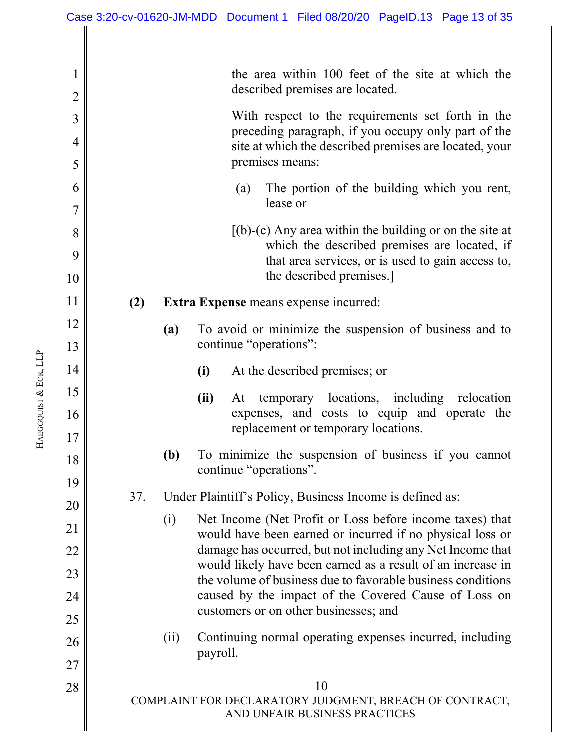|                       | $\mathbf 1$<br>$\overline{2}$ | the area within 100 feet of the site at which the<br>described premises are located.                                      |  |  |  |  |
|-----------------------|-------------------------------|---------------------------------------------------------------------------------------------------------------------------|--|--|--|--|
|                       | 3                             | With respect to the requirements set forth in the                                                                         |  |  |  |  |
|                       | $\overline{4}$                | preceding paragraph, if you occupy only part of the<br>site at which the described premises are located, your             |  |  |  |  |
|                       | 5                             | premises means:                                                                                                           |  |  |  |  |
|                       | 6                             | The portion of the building which you rent,<br>(a)                                                                        |  |  |  |  |
|                       | $\overline{7}$                | lease or                                                                                                                  |  |  |  |  |
|                       | 8                             | $[(b)-(c)$ Any area within the building or on the site at<br>which the described premises are located, if                 |  |  |  |  |
|                       | 9<br>10                       | that area services, or is used to gain access to,<br>the described premises.                                              |  |  |  |  |
|                       | 11                            |                                                                                                                           |  |  |  |  |
|                       | 12                            | (2)<br>Extra Expense means expense incurred:                                                                              |  |  |  |  |
|                       | 13                            | To avoid or minimize the suspension of business and to<br>(a)<br>continue "operations":                                   |  |  |  |  |
|                       | 14                            | (i)<br>At the described premises; or                                                                                      |  |  |  |  |
|                       | 15                            | temporary locations, including relocation<br>(ii)<br>At                                                                   |  |  |  |  |
| HAEGGQUIST & ECK, LLP | 16                            | expenses, and costs to equip and operate the<br>replacement or temporary locations.                                       |  |  |  |  |
|                       | 17                            |                                                                                                                           |  |  |  |  |
|                       | 18                            | To minimize the suspension of business if you cannot<br><b>(b)</b><br>continue "operations".                              |  |  |  |  |
|                       | 19                            | 37.<br>Under Plaintiff's Policy, Business Income is defined as:                                                           |  |  |  |  |
|                       | 20                            | Net Income (Net Profit or Loss before income taxes) that<br>(i)                                                           |  |  |  |  |
|                       | 21                            | would have been earned or incurred if no physical loss or                                                                 |  |  |  |  |
|                       | 22                            | damage has occurred, but not including any Net Income that<br>would likely have been earned as a result of an increase in |  |  |  |  |
|                       | 23                            | the volume of business due to favorable business conditions                                                               |  |  |  |  |
|                       | 24                            | caused by the impact of the Covered Cause of Loss on<br>customers or on other businesses; and                             |  |  |  |  |
|                       | 25<br>26                      | Continuing normal operating expenses incurred, including<br>(ii)                                                          |  |  |  |  |
|                       | 27                            | payroll.                                                                                                                  |  |  |  |  |
|                       | 28                            | 10                                                                                                                        |  |  |  |  |
|                       |                               | COMPLAINT FOR DECLARATORY JUDGMENT, BREACH OF CONTRACT,<br>AND UNFAIR BUSINESS PRACTICES                                  |  |  |  |  |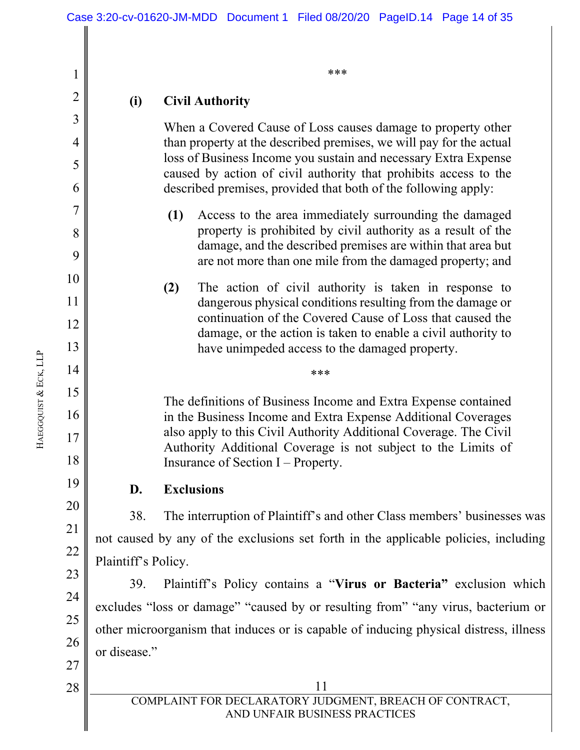\*\*\*

#### **(i) Civil Authority**

 When a Covered Cause of Loss causes damage to property other than property at the described premises, we will pay for the actual loss of Business Income you sustain and necessary Extra Expense caused by action of civil authority that prohibits access to the described premises, provided that both of the following apply:

- **(1)** Access to the area immediately surrounding the damaged property is prohibited by civil authority as a result of the damage, and the described premises are within that area but are not more than one mile from the damaged property; and
- **(2)** The action of civil authority is taken in response to dangerous physical conditions resulting from the damage or continuation of the Covered Cause of Loss that caused the damage, or the action is taken to enable a civil authority to have unimpeded access to the damaged property.

\*\*\*

The definitions of Business Income and Extra Expense contained in the Business Income and Extra Expense Additional Coverages also apply to this Civil Authority Additional Coverage. The Civil Authority Additional Coverage is not subject to the Limits of Insurance of Section I – Property.

**D. Exclusions** 

38. The interruption of Plaintiff's and other Class members' businesses was not caused by any of the exclusions set forth in the applicable policies, including Plaintiff's Policy.

39. Plaintiff's Policy contains a "**Virus or Bacteria"** exclusion which excludes "loss or damage" "caused by or resulting from" "any virus, bacterium or other microorganism that induces or is capable of inducing physical distress, illness or disease."

HAEGGQUIST & ECK, LLP 1

2

3

4

5

6

7

8

9

10

11

12

13

14

15

16

17

18

19

20

21

22

23

24

25

26

28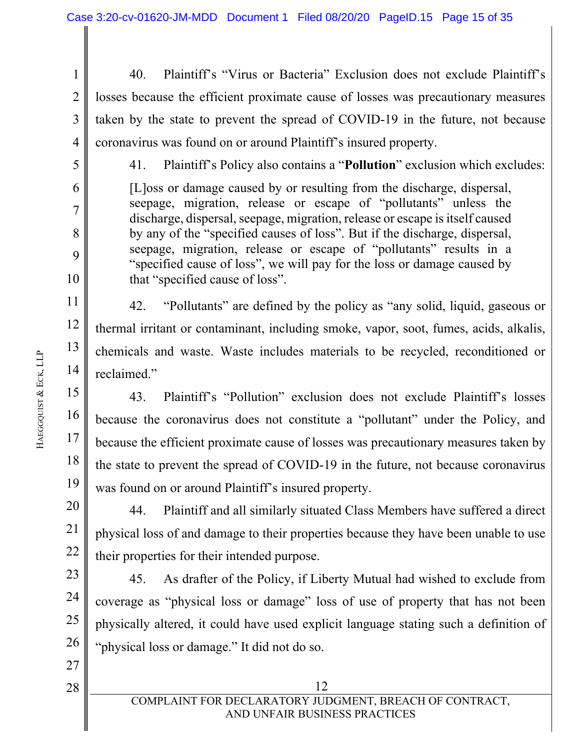1 2 3 4 40. Plaintiff's "Virus or Bacteria" Exclusion does not exclude Plaintiff's losses because the efficient proximate cause of losses was precautionary measures taken by the state to prevent the spread of COVID-19 in the future, not because coronavirus was found on or around Plaintiff's insured property.

5

6

7

8

9

10

11

12

13

14

15

16

17

18

19

41. Plaintiff's Policy also contains a "**Pollution**" exclusion which excludes:

[L]oss or damage caused by or resulting from the discharge, dispersal, seepage, migration, release or escape of "pollutants" unless the discharge, dispersal, seepage, migration, release or escape is itself caused by any of the "specified causes of loss". But if the discharge, dispersal, seepage, migration, release or escape of "pollutants" results in a "specified cause of loss", we will pay for the loss or damage caused by that "specified cause of loss".

42. "Pollutants" are defined by the policy as "any solid, liquid, gaseous or thermal irritant or contaminant, including smoke, vapor, soot, fumes, acids, alkalis, chemicals and waste. Waste includes materials to be recycled, reconditioned or reclaimed."

43. Plaintiff's "Pollution" exclusion does not exclude Plaintiff's losses because the coronavirus does not constitute a "pollutant" under the Policy, and because the efficient proximate cause of losses was precautionary measures taken by the state to prevent the spread of COVID-19 in the future, not because coronavirus was found on or around Plaintiff's insured property.

20 21 22 44. Plaintiff and all similarly situated Class Members have suffered a direct physical loss of and damage to their properties because they have been unable to use their properties for their intended purpose.

23 24 25 26 45. As drafter of the Policy, if Liberty Mutual had wished to exclude from coverage as "physical loss or damage" loss of use of property that has not been physically altered, it could have used explicit language stating such a definition of "physical loss or damage." It did not do so.

&

ECK, LLP

28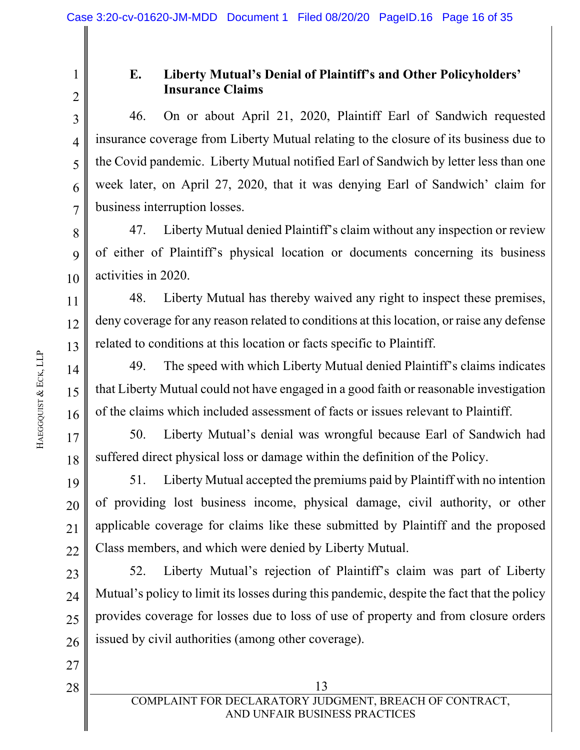2

3

4

5

6

7

12

13

14

15

16

19

20

21

22

27

28

1

## **E. Liberty Mutual's Denial of Plaintiff's and Other Policyholders' Insurance Claims**

46. On or about April 21, 2020, Plaintiff Earl of Sandwich requested insurance coverage from Liberty Mutual relating to the closure of its business due to the Covid pandemic. Liberty Mutual notified Earl of Sandwich by letter less than one week later, on April 27, 2020, that it was denying Earl of Sandwich' claim for business interruption losses.

8 9 10 47. Liberty Mutual denied Plaintiff's claim without any inspection or review of either of Plaintiff's physical location or documents concerning its business activities in 2020.

11 48. Liberty Mutual has thereby waived any right to inspect these premises, deny coverage for any reason related to conditions at this location, or raise any defense related to conditions at this location or facts specific to Plaintiff.

49. The speed with which Liberty Mutual denied Plaintiff's claims indicates that Liberty Mutual could not have engaged in a good faith or reasonable investigation of the claims which included assessment of facts or issues relevant to Plaintiff.

17 18 50. Liberty Mutual's denial was wrongful because Earl of Sandwich had suffered direct physical loss or damage within the definition of the Policy.

51. Liberty Mutual accepted the premiums paid by Plaintiff with no intention of providing lost business income, physical damage, civil authority, or other applicable coverage for claims like these submitted by Plaintiff and the proposed Class members, and which were denied by Liberty Mutual.

23 24 25 26 52. Liberty Mutual's rejection of Plaintiff's claim was part of Liberty Mutual's policy to limit its losses during this pandemic, despite the fact that the policy provides coverage for losses due to loss of use of property and from closure orders issued by civil authorities (among other coverage).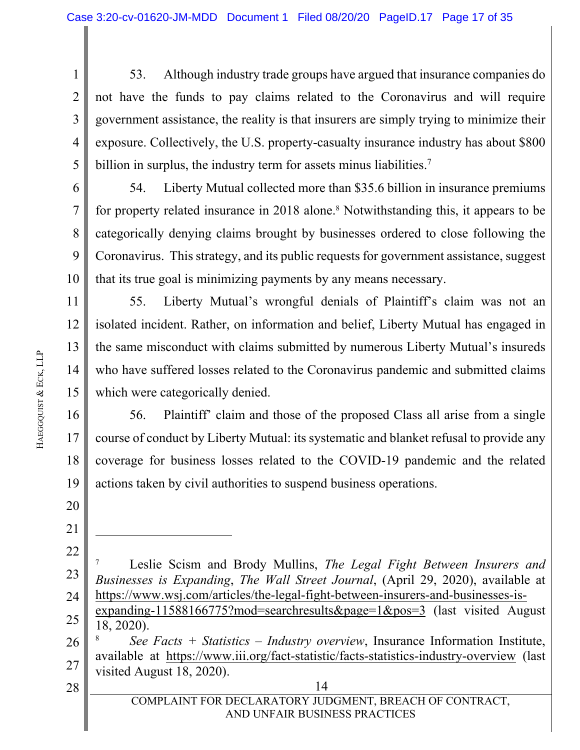1 2 3 4 5 53. Although industry trade groups have argued that insurance companies do not have the funds to pay claims related to the Coronavirus and will require government assistance, the reality is that insurers are simply trying to minimize their exposure. Collectively, the U.S. property-casualty insurance industry has about \$800 billion in surplus, the industry term for assets minus liabilities.<sup>7</sup>

6 7 8 9 10 54. Liberty Mutual collected more than \$35.6 billion in insurance premiums for property related insurance in 2018 alone.<sup>8</sup> Notwithstanding this, it appears to be categorically denying claims brought by businesses ordered to close following the Coronavirus. This strategy, and its public requests for government assistance, suggest that its true goal is minimizing payments by any means necessary.

11 12 13 14 15 55. Liberty Mutual's wrongful denials of Plaintiff's claim was not an isolated incident. Rather, on information and belief, Liberty Mutual has engaged in the same misconduct with claims submitted by numerous Liberty Mutual's insureds who have suffered losses related to the Coronavirus pandemic and submitted claims which were categorically denied.

16 17 18 19 56. Plaintiff' claim and those of the proposed Class all arise from a single course of conduct by Liberty Mutual: its systematic and blanket refusal to provide any coverage for business losses related to the COVID-19 pandemic and the related actions taken by civil authorities to suspend business operations.

20 21

> 22 23 24 7 Leslie Scism and Brody Mullins, *The Legal Fight Between Insurers and Businesses is Expanding*, *The Wall Street Journal*, (April 29, 2020), available at https://www.wsj.com/articles/the-legal-fight-between-insurers-and-businesses-is-

26 27 8 *See Facts + Statistics – Industry overview*, Insurance Information Institute, available at https://www.iii.org/fact-statistic/facts-statistics-industry-overview (last visited August 18, 2020).

 $28$  || 14 28

<sup>25</sup>  expanding-11588166775?mod=searchresults&page=1&pos=3 (last visited August 18, 2020).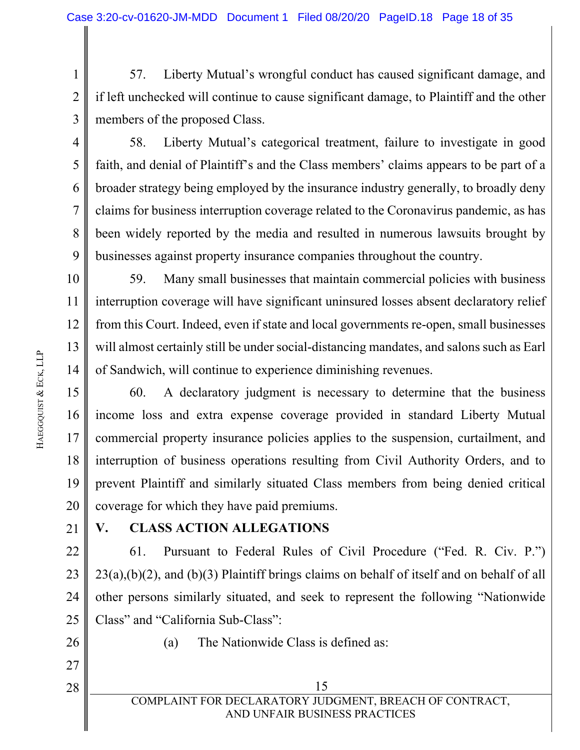1 2 3 57. Liberty Mutual's wrongful conduct has caused significant damage, and if left unchecked will continue to cause significant damage, to Plaintiff and the other members of the proposed Class.

4

5

6

7

8

9

58. Liberty Mutual's categorical treatment, failure to investigate in good faith, and denial of Plaintiff's and the Class members' claims appears to be part of a broader strategy being employed by the insurance industry generally, to broadly deny claims for business interruption coverage related to the Coronavirus pandemic, as has been widely reported by the media and resulted in numerous lawsuits brought by businesses against property insurance companies throughout the country.

10 11 12 13 14 59. Many small businesses that maintain commercial policies with business interruption coverage will have significant uninsured losses absent declaratory relief from this Court. Indeed, even if state and local governments re-open, small businesses will almost certainly still be under social-distancing mandates, and salons such as Earl of Sandwich, will continue to experience diminishing revenues.

15 16 17 18 19 20 60. A declaratory judgment is necessary to determine that the business income loss and extra expense coverage provided in standard Liberty Mutual commercial property insurance policies applies to the suspension, curtailment, and interruption of business operations resulting from Civil Authority Orders, and to prevent Plaintiff and similarly situated Class members from being denied critical coverage for which they have paid premiums.

21

## **V. CLASS ACTION ALLEGATIONS**

22 23 24 25 61. Pursuant to Federal Rules of Civil Procedure ("Fed. R. Civ. P.") 23(a),(b)(2), and (b)(3) Plaintiff brings claims on behalf of itself and on behalf of all other persons similarly situated, and seek to represent the following "Nationwide Class" and "California Sub-Class":

26

27

28

(a) The Nationwide Class is defined as:

HAEGGQUIST

&

ECK, LLP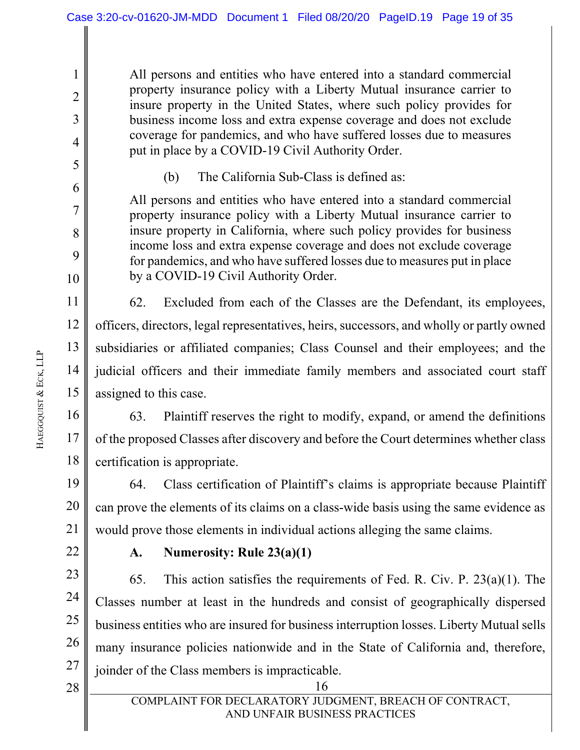All persons and entities who have entered into a standard commercial property insurance policy with a Liberty Mutual insurance carrier to insure property in the United States, where such policy provides for business income loss and extra expense coverage and does not exclude coverage for pandemics, and who have suffered losses due to measures put in place by a COVID-19 Civil Authority Order.

(b) The California Sub-Class is defined as:

All persons and entities who have entered into a standard commercial property insurance policy with a Liberty Mutual insurance carrier to insure property in California, where such policy provides for business income loss and extra expense coverage and does not exclude coverage for pandemics, and who have suffered losses due to measures put in place by a COVID-19 Civil Authority Order.

14 62. Excluded from each of the Classes are the Defendant, its employees, officers, directors, legal representatives, heirs, successors, and wholly or partly owned subsidiaries or affiliated companies; Class Counsel and their employees; and the judicial officers and their immediate family members and associated court staff assigned to this case.

16 17 18 63. Plaintiff reserves the right to modify, expand, or amend the definitions of the proposed Classes after discovery and before the Court determines whether class certification is appropriate.

19 20 21 64. Class certification of Plaintiff's claims is appropriate because Plaintiff can prove the elements of its claims on a class-wide basis using the same evidence as would prove those elements in individual actions alleging the same claims.

22

#### **A. Numerosity: Rule 23(a)(1)**

23 24 25 26 27 65. This action satisfies the requirements of Fed. R. Civ. P. 23(a)(1). The Classes number at least in the hundreds and consist of geographically dispersed business entities who are insured for business interruption losses. Liberty Mutual sells many insurance policies nationwide and in the State of California and, therefore, joinder of the Class members is impracticable.

 $28$  || 16 28

1

2

3

4

5

6

7

8

9

10

11

12

13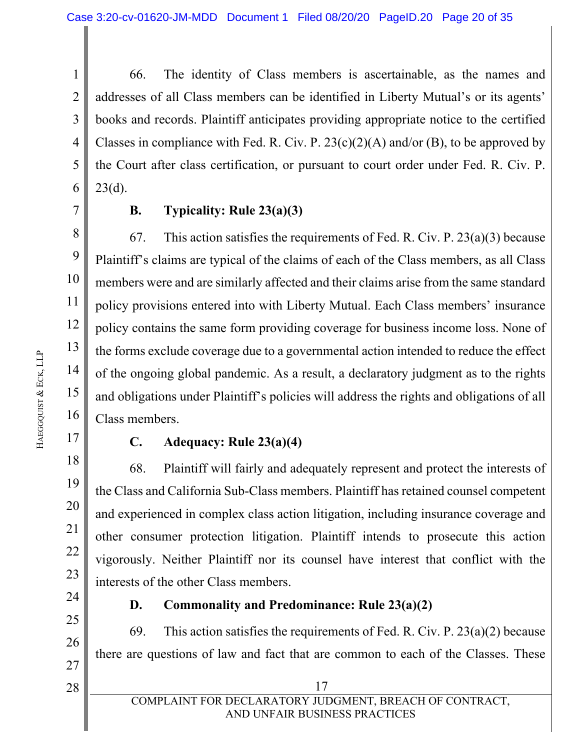1 2 3 4 5 6 66. The identity of Class members is ascertainable, as the names and addresses of all Class members can be identified in Liberty Mutual's or its agents' books and records. Plaintiff anticipates providing appropriate notice to the certified Classes in compliance with Fed. R. Civ. P.  $23(c)(2)(A)$  and/or (B), to be approved by the Court after class certification, or pursuant to court order under Fed. R. Civ. P.  $23(d)$ .

7

#### **B. Typicality: Rule 23(a)(3)**

8 9 10 11 12 13 14 15 16 67. This action satisfies the requirements of Fed. R. Civ. P.  $23(a)(3)$  because Plaintiff's claims are typical of the claims of each of the Class members, as all Class members were and are similarly affected and their claims arise from the same standard policy provisions entered into with Liberty Mutual. Each Class members' insurance policy contains the same form providing coverage for business income loss. None of the forms exclude coverage due to a governmental action intended to reduce the effect of the ongoing global pandemic. As a result, a declaratory judgment as to the rights and obligations under Plaintiff's policies will address the rights and obligations of all Class members.

17

18

19

20

21

22

23

#### **C. Adequacy: Rule 23(a)(4)**

68. Plaintiff will fairly and adequately represent and protect the interests of the Class and California Sub-Class members. Plaintiff has retained counsel competent and experienced in complex class action litigation, including insurance coverage and other consumer protection litigation. Plaintiff intends to prosecute this action vigorously. Neither Plaintiff nor its counsel have interest that conflict with the interests of the other Class members.

24 25

26

27

28

## **D. Commonality and Predominance: Rule 23(a)(2)**

69. This action satisfies the requirements of Fed. R. Civ. P.  $23(a)(2)$  because there are questions of law and fact that are common to each of the Classes. These

 $\begin{array}{c|c|c|c|c} 28 & 17 \end{array}$ COMPLAINT FOR DECLARATORY JUDGMENT, BREACH OF CONTRACT, AND UNFAIR BUSINESS PRACTICES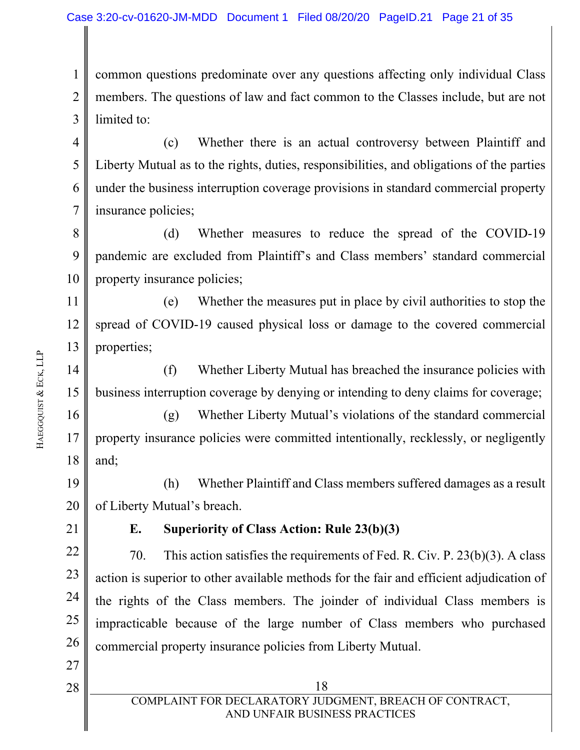1 2 3 common questions predominate over any questions affecting only individual Class members. The questions of law and fact common to the Classes include, but are not limited to:

4 5 6 7 (c) Whether there is an actual controversy between Plaintiff and Liberty Mutual as to the rights, duties, responsibilities, and obligations of the parties under the business interruption coverage provisions in standard commercial property insurance policies;

8 9 10 (d) Whether measures to reduce the spread of the COVID-19 pandemic are excluded from Plaintiff's and Class members' standard commercial property insurance policies;

11 12 13 (e) Whether the measures put in place by civil authorities to stop the spread of COVID-19 caused physical loss or damage to the covered commercial properties;

14 15 (f) Whether Liberty Mutual has breached the insurance policies with business interruption coverage by denying or intending to deny claims for coverage;

16 17 18 (g) Whether Liberty Mutual's violations of the standard commercial property insurance policies were committed intentionally, recklessly, or negligently and;

19 20 (h) Whether Plaintiff and Class members suffered damages as a result of Liberty Mutual's breach.

21

#### **E. Superiority of Class Action: Rule 23(b)(3)**

22 23 24 25 26 70. This action satisfies the requirements of Fed. R. Civ. P. 23(b)(3). A class action is superior to other available methods for the fair and efficient adjudication of the rights of the Class members. The joinder of individual Class members is impracticable because of the large number of Class members who purchased commercial property insurance policies from Liberty Mutual.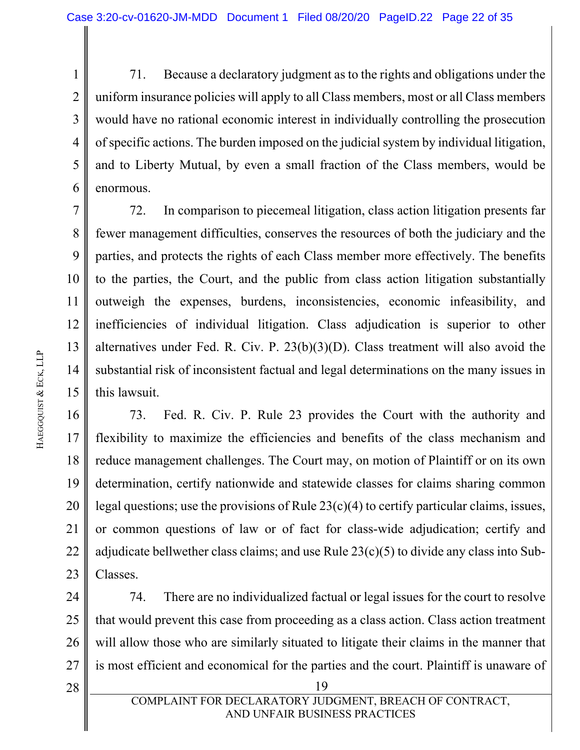1 2 3 4 5 6 71. Because a declaratory judgment as to the rights and obligations under the uniform insurance policies will apply to all Class members, most or all Class members would have no rational economic interest in individually controlling the prosecution of specific actions. The burden imposed on the judicial system by individual litigation, and to Liberty Mutual, by even a small fraction of the Class members, would be enormous.

7 8 9 10 11 12 13 14 15 72. In comparison to piecemeal litigation, class action litigation presents far fewer management difficulties, conserves the resources of both the judiciary and the parties, and protects the rights of each Class member more effectively. The benefits to the parties, the Court, and the public from class action litigation substantially outweigh the expenses, burdens, inconsistencies, economic infeasibility, and inefficiencies of individual litigation. Class adjudication is superior to other alternatives under Fed. R. Civ. P. 23(b)(3)(D). Class treatment will also avoid the substantial risk of inconsistent factual and legal determinations on the many issues in this lawsuit.

16 17 18 19 20 21 22 23 73. Fed. R. Civ. P. Rule 23 provides the Court with the authority and flexibility to maximize the efficiencies and benefits of the class mechanism and reduce management challenges. The Court may, on motion of Plaintiff or on its own determination, certify nationwide and statewide classes for claims sharing common legal questions; use the provisions of Rule 23(c)(4) to certify particular claims, issues, or common questions of law or of fact for class-wide adjudication; certify and adjudicate bellwether class claims; and use Rule 23(c)(5) to divide any class into Sub-Classes.

24 25 26 27 74. There are no individualized factual or legal issues for the court to resolve that would prevent this case from proceeding as a class action. Class action treatment will allow those who are similarly situated to litigate their claims in the manner that is most efficient and economical for the parties and the court. Plaintiff is unaware of

28

COMPLAINT FOR DECLARATORY JUDGMENT, BREACH OF CONTRACT, AND UNFAIR BUSINESS PRACTICES

 $28$  || 19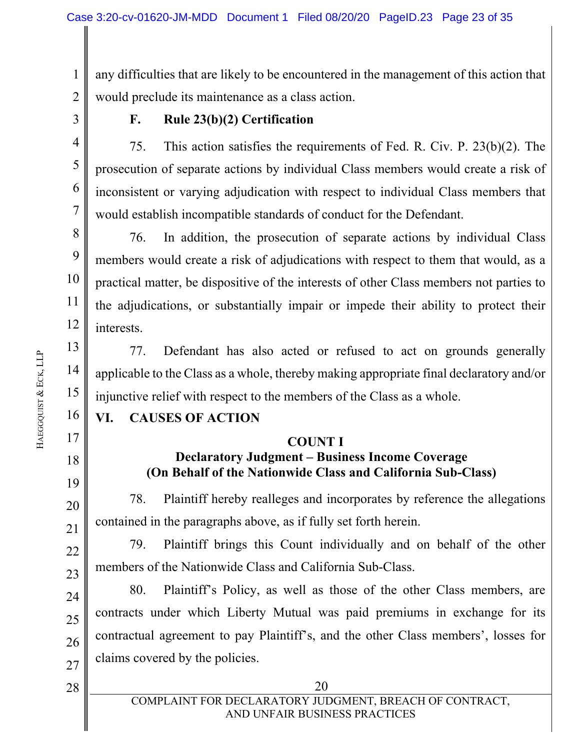1 2 any difficulties that are likely to be encountered in the management of this action that would preclude its maintenance as a class action.

3

4

5

6

7

13

14

15

16

17

18

19

20

21

22

23

24

25

26

27

28

#### **F. Rule 23(b)(2) Certification**

75. This action satisfies the requirements of Fed. R. Civ. P. 23(b)(2). The prosecution of separate actions by individual Class members would create a risk of inconsistent or varying adjudication with respect to individual Class members that would establish incompatible standards of conduct for the Defendant.

8 9 10 11 12 76. In addition, the prosecution of separate actions by individual Class members would create a risk of adjudications with respect to them that would, as a practical matter, be dispositive of the interests of other Class members not parties to the adjudications, or substantially impair or impede their ability to protect their interests.

77. Defendant has also acted or refused to act on grounds generally applicable to the Class as a whole, thereby making appropriate final declaratory and/or injunctive relief with respect to the members of the Class as a whole.

## **VI. CAUSES OF ACTION**

#### **COUNT I**

## **Declaratory Judgment – Business Income Coverage (On Behalf of the Nationwide Class and California Sub-Class)**

78. Plaintiff hereby realleges and incorporates by reference the allegations contained in the paragraphs above, as if fully set forth herein.

79. Plaintiff brings this Count individually and on behalf of the other members of the Nationwide Class and California Sub-Class.

80. Plaintiff's Policy, as well as those of the other Class members, are contracts under which Liberty Mutual was paid premiums in exchange for its contractual agreement to pay Plaintiff's, and the other Class members', losses for claims covered by the policies.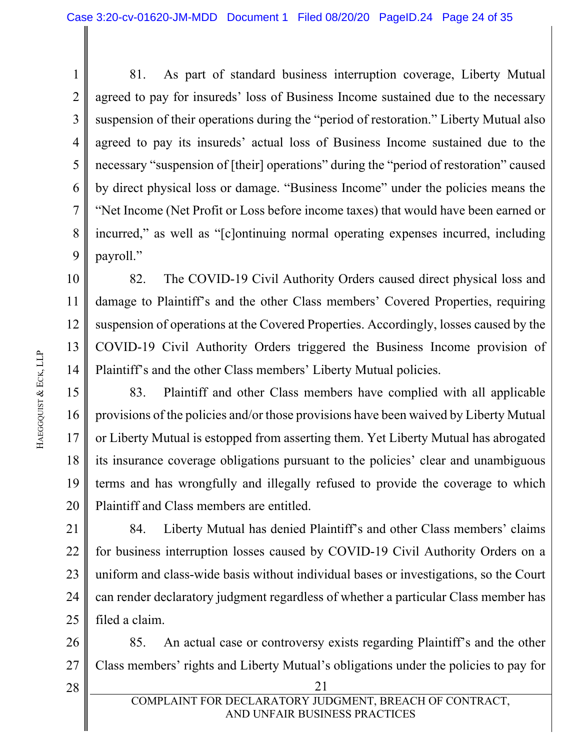1 2 3 4 5 6 7 8 9 81. As part of standard business interruption coverage, Liberty Mutual agreed to pay for insureds' loss of Business Income sustained due to the necessary suspension of their operations during the "period of restoration." Liberty Mutual also agreed to pay its insureds' actual loss of Business Income sustained due to the necessary "suspension of [their] operations" during the "period of restoration" caused by direct physical loss or damage. "Business Income" under the policies means the "Net Income (Net Profit or Loss before income taxes) that would have been earned or incurred," as well as "[c]ontinuing normal operating expenses incurred, including payroll."

10 11 12 13 14 82. The COVID-19 Civil Authority Orders caused direct physical loss and damage to Plaintiff's and the other Class members' Covered Properties, requiring suspension of operations at the Covered Properties. Accordingly, losses caused by the COVID-19 Civil Authority Orders triggered the Business Income provision of Plaintiff's and the other Class members' Liberty Mutual policies.

15 16 17 18 19 20 83. Plaintiff and other Class members have complied with all applicable provisions of the policies and/or those provisions have been waived by Liberty Mutual or Liberty Mutual is estopped from asserting them. Yet Liberty Mutual has abrogated its insurance coverage obligations pursuant to the policies' clear and unambiguous terms and has wrongfully and illegally refused to provide the coverage to which Plaintiff and Class members are entitled.

21 22 23 24 25 84. Liberty Mutual has denied Plaintiff's and other Class members' claims for business interruption losses caused by COVID-19 Civil Authority Orders on a uniform and class-wide basis without individual bases or investigations, so the Court can render declaratory judgment regardless of whether a particular Class member has filed a claim.

26 27 85. An actual case or controversy exists regarding Plaintiff's and the other Class members' rights and Liberty Mutual's obligations under the policies to pay for

 $28$  || 21 28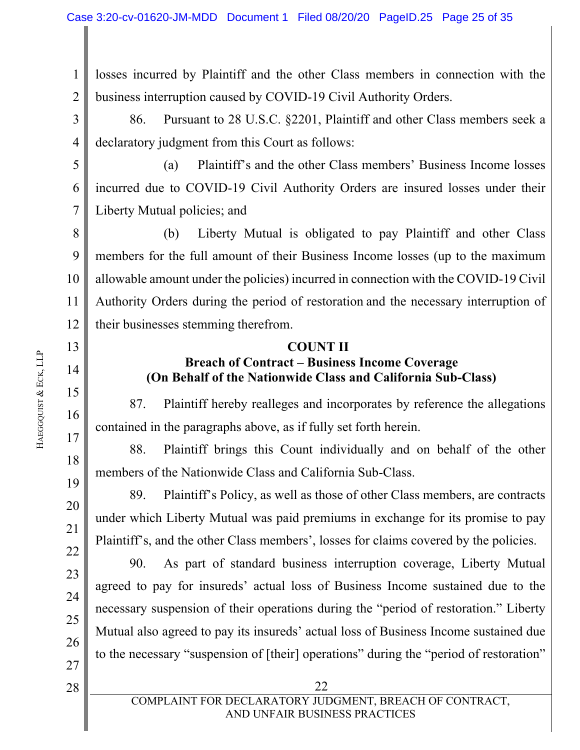1 2 losses incurred by Plaintiff and the other Class members in connection with the business interruption caused by COVID-19 Civil Authority Orders.

3 4 86. Pursuant to 28 U.S.C. §2201, Plaintiff and other Class members seek a declaratory judgment from this Court as follows:

5 6 7 (a) Plaintiff's and the other Class members' Business Income losses incurred due to COVID-19 Civil Authority Orders are insured losses under their Liberty Mutual policies; and

8 9 10 11 12 (b) Liberty Mutual is obligated to pay Plaintiff and other Class members for the full amount of their Business Income losses (up to the maximum allowable amount under the policies) incurred in connection with the COVID-19 Civil Authority Orders during the period of restoration and the necessary interruption of their businesses stemming therefrom.

#### **COUNT II**

## **Breach of Contract – Business Income Coverage (On Behalf of the Nationwide Class and California Sub-Class)**

87. Plaintiff hereby realleges and incorporates by reference the allegations contained in the paragraphs above, as if fully set forth herein.

88. Plaintiff brings this Count individually and on behalf of the other members of the Nationwide Class and California Sub-Class.

89. Plaintiff's Policy, as well as those of other Class members, are contracts under which Liberty Mutual was paid premiums in exchange for its promise to pay Plaintiff's, and the other Class members', losses for claims covered by the policies.

90. As part of standard business interruption coverage, Liberty Mutual agreed to pay for insureds' actual loss of Business Income sustained due to the necessary suspension of their operations during the "period of restoration." Liberty Mutual also agreed to pay its insureds' actual loss of Business Income sustained due to the necessary "suspension of [their] operations" during the "period of restoration"

 $28$  | 22 28

27

13

14

15

16

17

18

19

20

21

22

23

24

25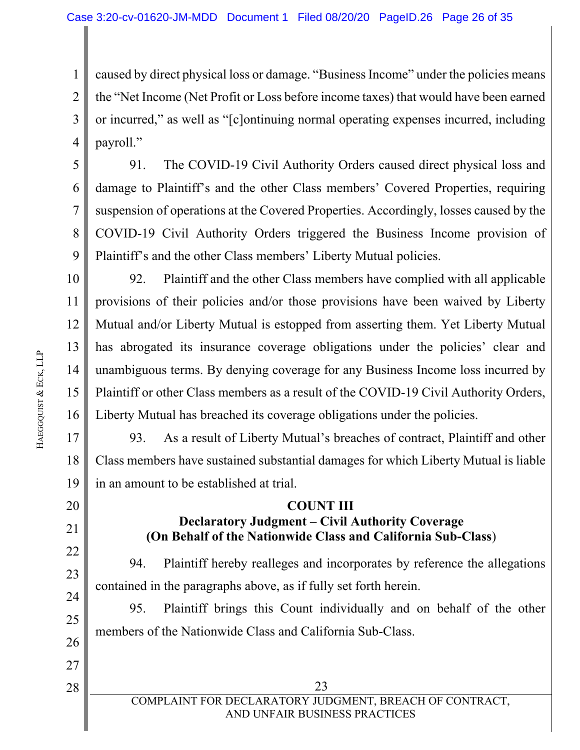1 2 3 4 caused by direct physical loss or damage. "Business Income" under the policies means the "Net Income (Net Profit or Loss before income taxes) that would have been earned or incurred," as well as "[c]ontinuing normal operating expenses incurred, including payroll."

5 6 7 8 9 91. The COVID-19 Civil Authority Orders caused direct physical loss and damage to Plaintiff's and the other Class members' Covered Properties, requiring suspension of operations at the Covered Properties. Accordingly, losses caused by the COVID-19 Civil Authority Orders triggered the Business Income provision of Plaintiff's and the other Class members' Liberty Mutual policies.

10 11 12 13 14 15 16 92. Plaintiff and the other Class members have complied with all applicable provisions of their policies and/or those provisions have been waived by Liberty Mutual and/or Liberty Mutual is estopped from asserting them. Yet Liberty Mutual has abrogated its insurance coverage obligations under the policies' clear and unambiguous terms. By denying coverage for any Business Income loss incurred by Plaintiff or other Class members as a result of the COVID-19 Civil Authority Orders, Liberty Mutual has breached its coverage obligations under the policies.

17 18 19 93. As a result of Liberty Mutual's breaches of contract, Plaintiff and other Class members have sustained substantial damages for which Liberty Mutual is liable in an amount to be established at trial.

#### **COUNT III Declaratory Judgment – Civil Authority Coverage (On Behalf of the Nationwide Class and California Sub-Class**)

94. Plaintiff hereby realleges and incorporates by reference the allegations contained in the paragraphs above, as if fully set forth herein.

95. Plaintiff brings this Count individually and on behalf of the other members of the Nationwide Class and California Sub-Class.

20

21

22

23

24

25

26

27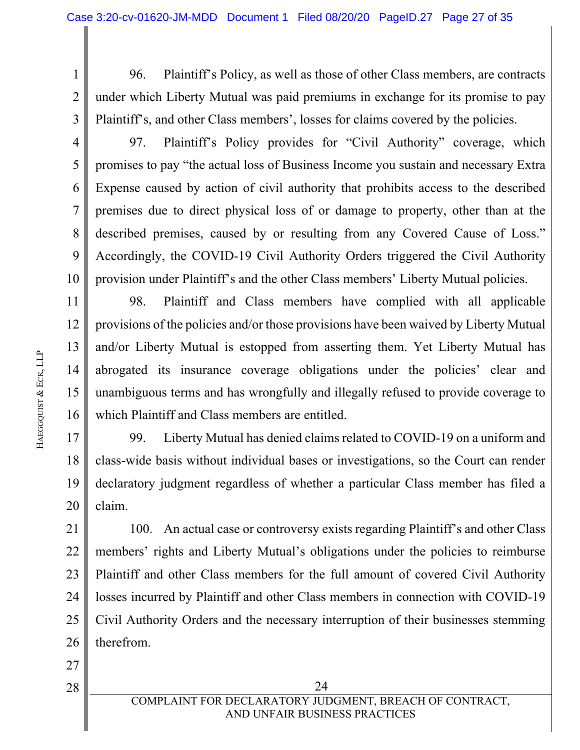1 2 3 96. Plaintiff's Policy, as well as those of other Class members, are contracts under which Liberty Mutual was paid premiums in exchange for its promise to pay Plaintiff's, and other Class members', losses for claims covered by the policies.

4 5

6

7

8

9

10

27

28

97. Plaintiff's Policy provides for "Civil Authority" coverage, which promises to pay "the actual loss of Business Income you sustain and necessary Extra Expense caused by action of civil authority that prohibits access to the described premises due to direct physical loss of or damage to property, other than at the described premises, caused by or resulting from any Covered Cause of Loss." Accordingly, the COVID-19 Civil Authority Orders triggered the Civil Authority provision under Plaintiff's and the other Class members' Liberty Mutual policies.

11 12 13 14 15 16 98. Plaintiff and Class members have complied with all applicable provisions of the policies and/or those provisions have been waived by Liberty Mutual and/or Liberty Mutual is estopped from asserting them. Yet Liberty Mutual has abrogated its insurance coverage obligations under the policies' clear and unambiguous terms and has wrongfully and illegally refused to provide coverage to which Plaintiff and Class members are entitled.

17 18 19 20 99. Liberty Mutual has denied claims related to COVID-19 on a uniform and class-wide basis without individual bases or investigations, so the Court can render declaratory judgment regardless of whether a particular Class member has filed a claim.

21 22 23 24 25 26 100. An actual case or controversy exists regarding Plaintiff's and other Class members' rights and Liberty Mutual's obligations under the policies to reimburse Plaintiff and other Class members for the full amount of covered Civil Authority losses incurred by Plaintiff and other Class members in connection with COVID-19 Civil Authority Orders and the necessary interruption of their businesses stemming therefrom.

 $28$  || 24 COMPLAINT FOR DECLARATORY JUDGMENT, BREACH OF CONTRACT, AND UNFAIR BUSINESS PRACTICES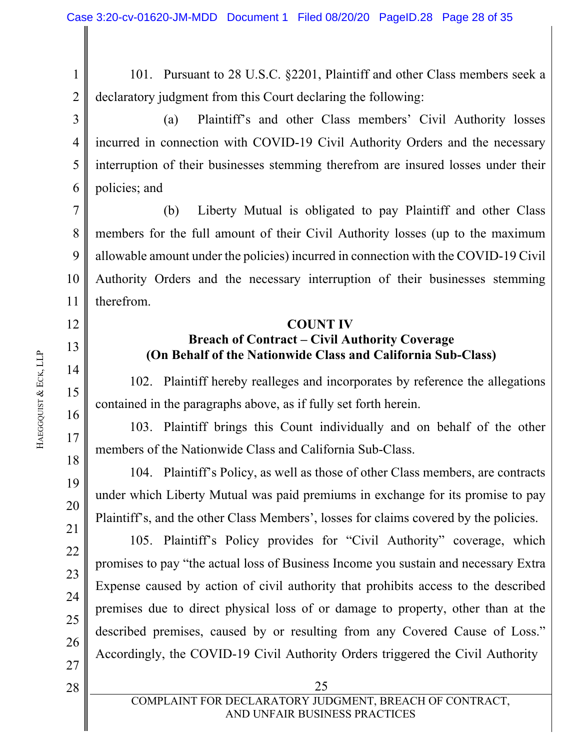1 2 101. Pursuant to 28 U.S.C. §2201, Plaintiff and other Class members seek a declaratory judgment from this Court declaring the following:

3 4 5 6 (a) Plaintiff's and other Class members' Civil Authority losses incurred in connection with COVID-19 Civil Authority Orders and the necessary interruption of their businesses stemming therefrom are insured losses under their policies; and

7 8 9 10 11 (b) Liberty Mutual is obligated to pay Plaintiff and other Class members for the full amount of their Civil Authority losses (up to the maximum allowable amount under the policies) incurred in connection with the COVID-19 Civil Authority Orders and the necessary interruption of their businesses stemming therefrom.

#### **COUNT IV**

#### **Breach of Contract – Civil Authority Coverage (On Behalf of the Nationwide Class and California Sub-Class)**

102. Plaintiff hereby realleges and incorporates by reference the allegations contained in the paragraphs above, as if fully set forth herein.

103. Plaintiff brings this Count individually and on behalf of the other members of the Nationwide Class and California Sub-Class.

104. Plaintiff's Policy, as well as those of other Class members, are contracts under which Liberty Mutual was paid premiums in exchange for its promise to pay Plaintiff's, and the other Class Members', losses for claims covered by the policies.

105. Plaintiff's Policy provides for "Civil Authority" coverage, which promises to pay "the actual loss of Business Income you sustain and necessary Extra Expense caused by action of civil authority that prohibits access to the described premises due to direct physical loss of or damage to property, other than at the described premises, caused by or resulting from any Covered Cause of Loss." Accordingly, the COVID-19 Civil Authority Orders triggered the Civil Authority

12

13

14

15

16

17

18

19

20

21

22

23

24

25

26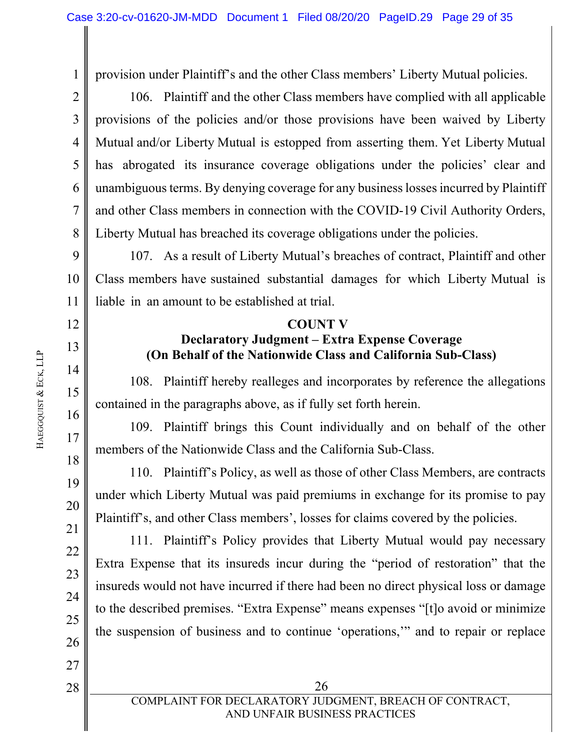2 3

12

13

14

15

16

17

18

19

20

21

22

23

24

25

26

27

28

1

provision under Plaintiff's and the other Class members' Liberty Mutual policies.

4 5 6 7 8 106. Plaintiff and the other Class members have complied with all applicable provisions of the policies and/or those provisions have been waived by Liberty Mutual and/or Liberty Mutual is estopped from asserting them. Yet Liberty Mutual has abrogated its insurance coverage obligations under the policies' clear and unambiguous terms. By denying coverage for any business losses incurred by Plaintiff and other Class members in connection with the COVID-19 Civil Authority Orders, Liberty Mutual has breached its coverage obligations under the policies.

9 10 11 107. As a result of Liberty Mutual's breaches of contract, Plaintiff and other Class members have sustained substantial damages for which Liberty Mutual is liable in an amount to be established at trial.

### **COUNT V**

## **Declaratory Judgment – Extra Expense Coverage (On Behalf of the Nationwide Class and California Sub-Class)**

108. Plaintiff hereby realleges and incorporates by reference the allegations contained in the paragraphs above, as if fully set forth herein.

109. Plaintiff brings this Count individually and on behalf of the other members of the Nationwide Class and the California Sub-Class.

110. Plaintiff's Policy, as well as those of other Class Members, are contracts under which Liberty Mutual was paid premiums in exchange for its promise to pay Plaintiff's, and other Class members', losses for claims covered by the policies.

111. Plaintiff's Policy provides that Liberty Mutual would pay necessary Extra Expense that its insureds incur during the "period of restoration" that the insureds would not have incurred if there had been no direct physical loss or damage to the described premises. "Extra Expense" means expenses "[t]o avoid or minimize the suspension of business and to continue 'operations,'" and to repair or replace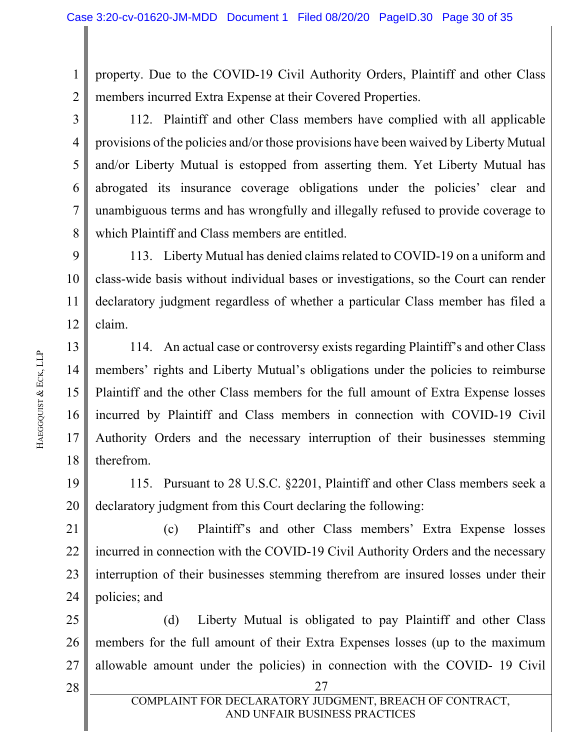1 2 property. Due to the COVID-19 Civil Authority Orders, Plaintiff and other Class members incurred Extra Expense at their Covered Properties.

3 4 5 6 7 8 112. Plaintiff and other Class members have complied with all applicable provisions of the policies and/or those provisions have been waived by Liberty Mutual and/or Liberty Mutual is estopped from asserting them. Yet Liberty Mutual has abrogated its insurance coverage obligations under the policies' clear and unambiguous terms and has wrongfully and illegally refused to provide coverage to which Plaintiff and Class members are entitled.

9 10 11 12 113. Liberty Mutual has denied claims related to COVID-19 on a uniform and class-wide basis without individual bases or investigations, so the Court can render declaratory judgment regardless of whether a particular Class member has filed a claim.

13 14 15 16 17 18 114. An actual case or controversy exists regarding Plaintiff's and other Class members' rights and Liberty Mutual's obligations under the policies to reimburse Plaintiff and the other Class members for the full amount of Extra Expense losses incurred by Plaintiff and Class members in connection with COVID-19 Civil Authority Orders and the necessary interruption of their businesses stemming therefrom.

19 20 115. Pursuant to 28 U.S.C. §2201, Plaintiff and other Class members seek a declaratory judgment from this Court declaring the following:

21 22 23 24 (c) Plaintiff's and other Class members' Extra Expense losses incurred in connection with the COVID-19 Civil Authority Orders and the necessary interruption of their businesses stemming therefrom are insured losses under their policies; and

25 26 27 (d) Liberty Mutual is obligated to pay Plaintiff and other Class members for the full amount of their Extra Expenses losses (up to the maximum allowable amount under the policies) in connection with the COVID- 19 Civil

 $28$  | 27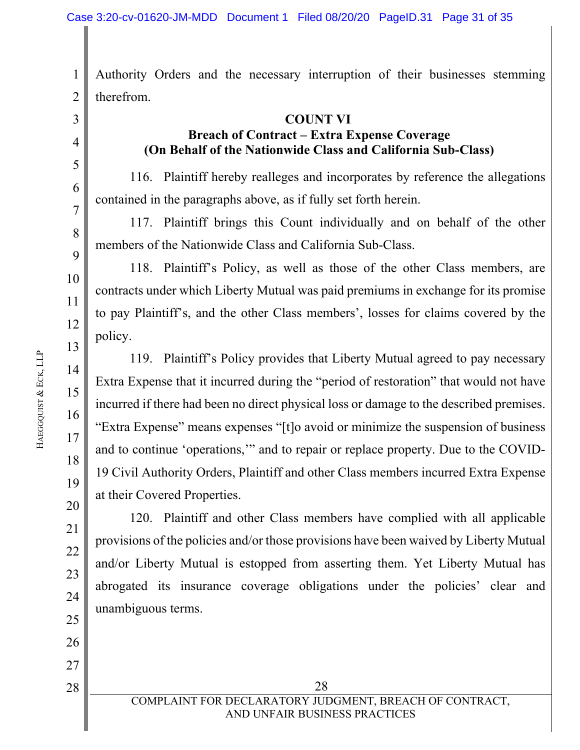1 2 Authority Orders and the necessary interruption of their businesses stemming therefrom.

# 3 4 5 6 7

8

9

10

11

12

13

14

15

16

17

18

19

20

21

22

23

24

25

26

27

28

**COUNT VI Breach of Contract – Extra Expense Coverage (On Behalf of the Nationwide Class and California Sub-Class)** 

116. Plaintiff hereby realleges and incorporates by reference the allegations contained in the paragraphs above, as if fully set forth herein.

117. Plaintiff brings this Count individually and on behalf of the other members of the Nationwide Class and California Sub-Class.

118. Plaintiff's Policy, as well as those of the other Class members, are contracts under which Liberty Mutual was paid premiums in exchange for its promise to pay Plaintiff's, and the other Class members', losses for claims covered by the policy.

119. Plaintiff's Policy provides that Liberty Mutual agreed to pay necessary Extra Expense that it incurred during the "period of restoration" that would not have incurred if there had been no direct physical loss or damage to the described premises. "Extra Expense" means expenses "[t]o avoid or minimize the suspension of business and to continue 'operations,'" and to repair or replace property. Due to the COVID-19 Civil Authority Orders, Plaintiff and other Class members incurred Extra Expense at their Covered Properties.

120. Plaintiff and other Class members have complied with all applicable provisions of the policies and/or those provisions have been waived by Liberty Mutual and/or Liberty Mutual is estopped from asserting them. Yet Liberty Mutual has abrogated its insurance coverage obligations under the policies' clear and unambiguous terms.

 $28$  28 COMPLAINT FOR DECLARATORY JUDGMENT, BREACH OF CONTRACT, AND UNFAIR BUSINESS PRACTICES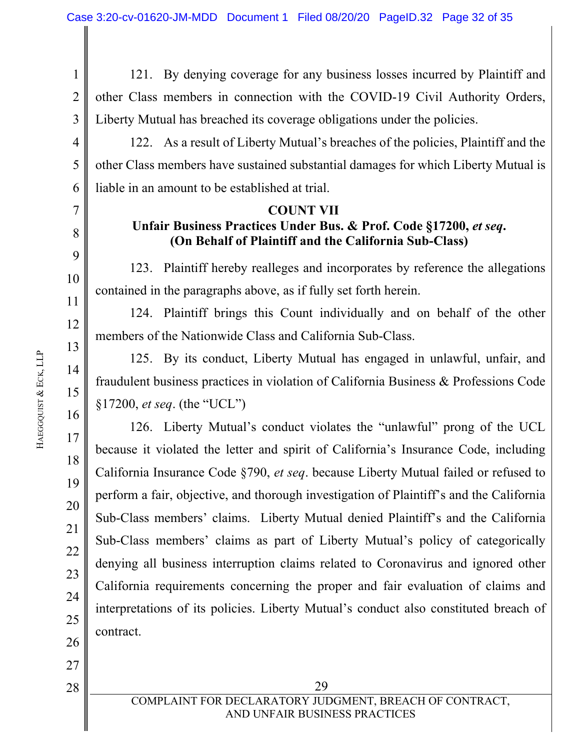1 2 3 121. By denying coverage for any business losses incurred by Plaintiff and other Class members in connection with the COVID-19 Civil Authority Orders, Liberty Mutual has breached its coverage obligations under the policies.

4 5 6 122. As a result of Liberty Mutual's breaches of the policies, Plaintiff and the other Class members have sustained substantial damages for which Liberty Mutual is liable in an amount to be established at trial.

#### **COUNT VII**

## Unfair Business Practices Under Bus. & Prof. Code §17200, *et seq.* **(On Behalf of Plaintiff and the California Sub-Class)**

123. Plaintiff hereby realleges and incorporates by reference the allegations contained in the paragraphs above, as if fully set forth herein.

124. Plaintiff brings this Count individually and on behalf of the other members of the Nationwide Class and California Sub-Class.

125. By its conduct, Liberty Mutual has engaged in unlawful, unfair, and fraudulent business practices in violation of California Business & Professions Code §17200, *et seq*. (the "UCL")

126. Liberty Mutual's conduct violates the "unlawful" prong of the UCL because it violated the letter and spirit of California's Insurance Code, including California Insurance Code §790, *et seq*. because Liberty Mutual failed or refused to perform a fair, objective, and thorough investigation of Plaintiff's and the California Sub-Class members' claims. Liberty Mutual denied Plaintiff's and the California Sub-Class members' claims as part of Liberty Mutual's policy of categorically denying all business interruption claims related to Coronavirus and ignored other California requirements concerning the proper and fair evaluation of claims and interpretations of its policies. Liberty Mutual's conduct also constituted breach of contract.

7

8

9

10

11

12

13

14

15

16

17

18

19

20

21

22

23

24

25

26

27

28

 $28$  | 29 COMPLAINT FOR DECLARATORY JUDGMENT, BREACH OF CONTRACT, AND UNFAIR BUSINESS PRACTICES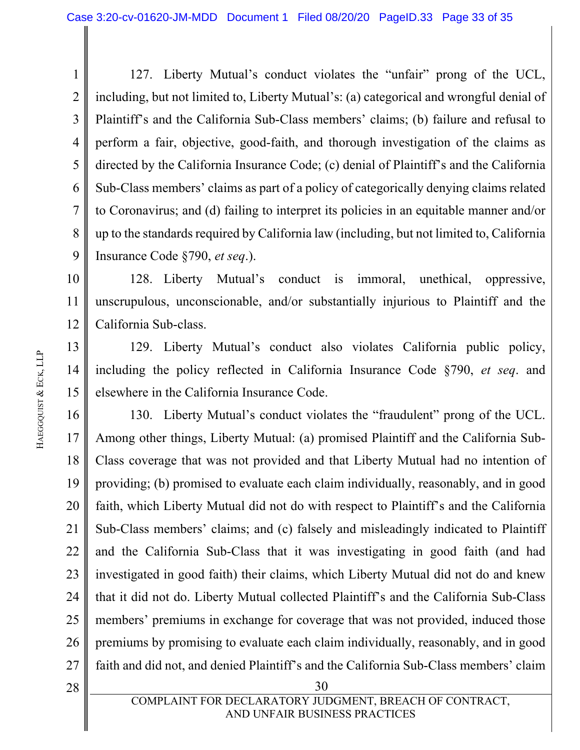1 2 3 4 5 6 7 8 9 127. Liberty Mutual's conduct violates the "unfair" prong of the UCL, including, but not limited to, Liberty Mutual's: (a) categorical and wrongful denial of Plaintiff's and the California Sub-Class members' claims; (b) failure and refusal to perform a fair, objective, good-faith, and thorough investigation of the claims as directed by the California Insurance Code; (c) denial of Plaintiff's and the California Sub-Class members' claims as part of a policy of categorically denying claims related to Coronavirus; and (d) failing to interpret its policies in an equitable manner and/or up to the standards required by California law (including, but not limited to, California Insurance Code §790, *et seq*.).

10 11 12 128. Liberty Mutual's conduct is immoral, unethical, oppressive, unscrupulous, unconscionable, and/or substantially injurious to Plaintiff and the California Sub-class.

13 14 15 129. Liberty Mutual's conduct also violates California public policy, including the policy reflected in California Insurance Code §790, *et seq*. and elsewhere in the California Insurance Code.

16 17 18 19 20 21 22 23 24 25 26 27 130. Liberty Mutual's conduct violates the "fraudulent" prong of the UCL. Among other things, Liberty Mutual: (a) promised Plaintiff and the California Sub-Class coverage that was not provided and that Liberty Mutual had no intention of providing; (b) promised to evaluate each claim individually, reasonably, and in good faith, which Liberty Mutual did not do with respect to Plaintiff's and the California Sub-Class members' claims; and (c) falsely and misleadingly indicated to Plaintiff and the California Sub-Class that it was investigating in good faith (and had investigated in good faith) their claims, which Liberty Mutual did not do and knew that it did not do. Liberty Mutual collected Plaintiff's and the California Sub-Class members' premiums in exchange for coverage that was not provided, induced those premiums by promising to evaluate each claim individually, reasonably, and in good faith and did not, and denied Plaintiff's and the California Sub-Class members' claim

 $28$  || 30 28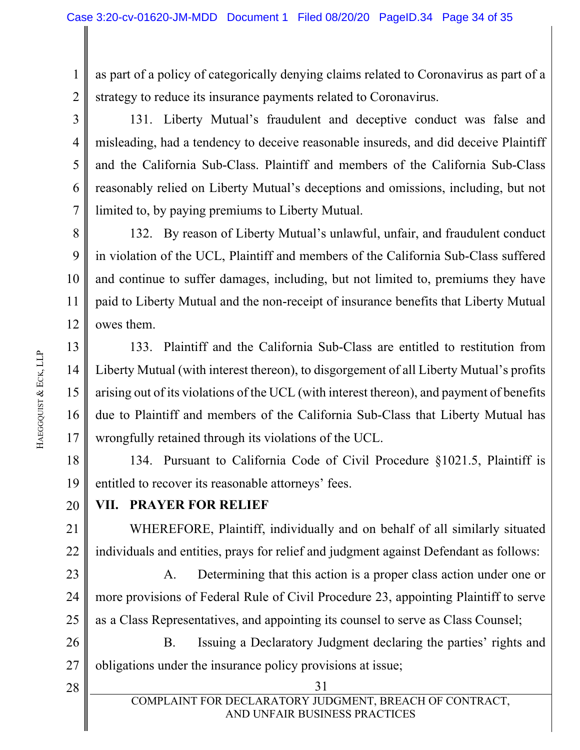1 2 as part of a policy of categorically denying claims related to Coronavirus as part of a strategy to reduce its insurance payments related to Coronavirus.

3 4 5 6 7 131. Liberty Mutual's fraudulent and deceptive conduct was false and misleading, had a tendency to deceive reasonable insureds, and did deceive Plaintiff and the California Sub-Class. Plaintiff and members of the California Sub-Class reasonably relied on Liberty Mutual's deceptions and omissions, including, but not limited to, by paying premiums to Liberty Mutual.

8 9 10 11 12 132. By reason of Liberty Mutual's unlawful, unfair, and fraudulent conduct in violation of the UCL, Plaintiff and members of the California Sub-Class suffered and continue to suffer damages, including, but not limited to, premiums they have paid to Liberty Mutual and the non-receipt of insurance benefits that Liberty Mutual owes them.

13 14 15 16 17 133. Plaintiff and the California Sub-Class are entitled to restitution from Liberty Mutual (with interest thereon), to disgorgement of all Liberty Mutual's profits arising out of its violations of the UCL (with interest thereon), and payment of benefits due to Plaintiff and members of the California Sub-Class that Liberty Mutual has wrongfully retained through its violations of the UCL.

18 19 134. Pursuant to California Code of Civil Procedure §1021.5, Plaintiff is entitled to recover its reasonable attorneys' fees.

#### 20 **VII. PRAYER FOR RELIEF**

21 22 WHEREFORE, Plaintiff, individually and on behalf of all similarly situated individuals and entities, prays for relief and judgment against Defendant as follows:

23 24 25 A. Determining that this action is a proper class action under one or more provisions of Federal Rule of Civil Procedure 23, appointing Plaintiff to serve as a Class Representatives, and appointing its counsel to serve as Class Counsel;

26 27 B. Issuing a Declaratory Judgment declaring the parties' rights and obligations under the insurance policy provisions at issue;

28

 $28$  ||  $31$ COMPLAINT FOR DECLARATORY JUDGMENT, BREACH OF CONTRACT, AND UNFAIR BUSINESS PRACTICES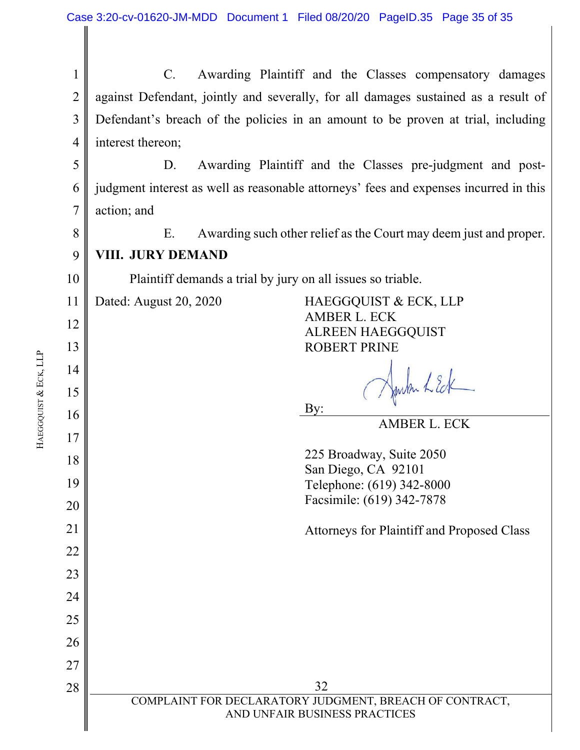|                       | 1              | Awarding Plaintiff and the Classes compensatory damages<br>$C_{\cdot}$                   |  |  |  |  |  |
|-----------------------|----------------|------------------------------------------------------------------------------------------|--|--|--|--|--|
|                       | $\overline{2}$ | against Defendant, jointly and severally, for all damages sustained as a result of       |  |  |  |  |  |
|                       | 3              | Defendant's breach of the policies in an amount to be proven at trial, including         |  |  |  |  |  |
|                       | 4              | interest thereon;                                                                        |  |  |  |  |  |
|                       | 5              | Awarding Plaintiff and the Classes pre-judgment and post-<br>D.                          |  |  |  |  |  |
|                       | 6              | judgment interest as well as reasonable attorneys' fees and expenses incurred in this    |  |  |  |  |  |
|                       | 7              | action; and                                                                              |  |  |  |  |  |
|                       | 8              | Awarding such other relief as the Court may deem just and proper.<br>Ε.                  |  |  |  |  |  |
|                       | 9              | <b>VIII. JURY DEMAND</b>                                                                 |  |  |  |  |  |
|                       | 10             | Plaintiff demands a trial by jury on all issues so triable.                              |  |  |  |  |  |
|                       | 11             | Dated: August 20, 2020<br>HAEGGQUIST & ECK, LLP<br><b>AMBER L. ECK</b>                   |  |  |  |  |  |
|                       | 12             | <b>ALREEN HAEGGQUIST</b>                                                                 |  |  |  |  |  |
|                       | 13             | <b>ROBERT PRINE</b>                                                                      |  |  |  |  |  |
| HAEGGQUIST & ECK, LLP | 14             |                                                                                          |  |  |  |  |  |
|                       | 15             | Harton LEck<br>By:                                                                       |  |  |  |  |  |
|                       | 16             | <b>AMBER L. ECK</b>                                                                      |  |  |  |  |  |
|                       | 17             | 225 Broadway, Suite 2050                                                                 |  |  |  |  |  |
|                       | 18             | San Diego, CA 92101                                                                      |  |  |  |  |  |
|                       | 19             | Telephone: (619) 342-8000<br>Facsimile: (619) 342-7878                                   |  |  |  |  |  |
|                       | 20             |                                                                                          |  |  |  |  |  |
|                       | 21             | Attorneys for Plaintiff and Proposed Class                                               |  |  |  |  |  |
|                       | 22             |                                                                                          |  |  |  |  |  |
|                       | 23             |                                                                                          |  |  |  |  |  |
|                       | 24             |                                                                                          |  |  |  |  |  |
|                       | 25             |                                                                                          |  |  |  |  |  |
|                       | 26             |                                                                                          |  |  |  |  |  |
|                       | 27<br>28       | 32                                                                                       |  |  |  |  |  |
|                       |                | COMPLAINT FOR DECLARATORY JUDGMENT, BREACH OF CONTRACT,<br>AND UNFAIR BUSINESS PRACTICES |  |  |  |  |  |

 $\parallel$